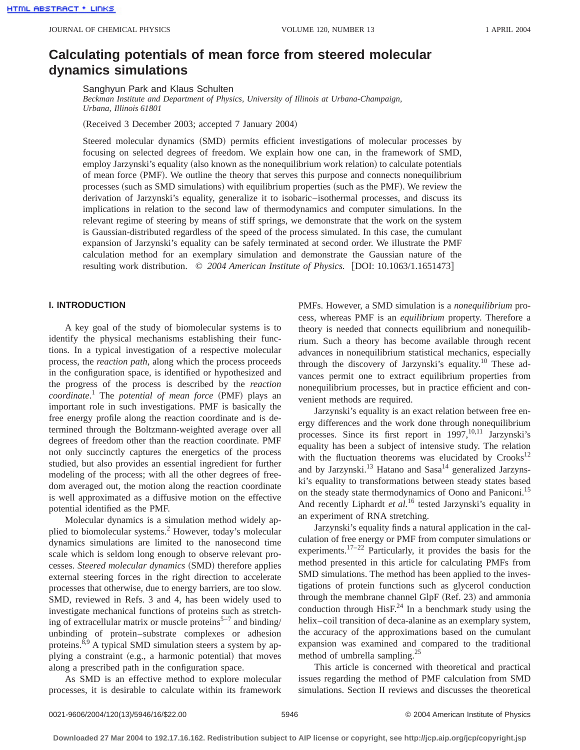# **Calculating potentials of mean force from steered molecular dynamics simulations**

Sanghyun Park and Klaus Schulten

*Beckman Institute and Department of Physics, University of Illinois at Urbana-Champaign, Urbana, Illinois 61801*

(Received 3 December 2003; accepted 7 January 2004)

Steered molecular dynamics (SMD) permits efficient investigations of molecular processes by focusing on selected degrees of freedom. We explain how one can, in the framework of SMD, employ Jarzynski's equality (also known as the nonequilibrium work relation) to calculate potentials of mean force (PMF). We outline the theory that serves this purpose and connects nonequilibrium processes (such as SMD simulations) with equilibrium properties (such as the PMF). We review the derivation of Jarzynski's equality, generalize it to isobaric–isothermal processes, and discuss its implications in relation to the second law of thermodynamics and computer simulations. In the relevant regime of steering by means of stiff springs, we demonstrate that the work on the system is Gaussian-distributed regardless of the speed of the process simulated. In this case, the cumulant expansion of Jarzynski's equality can be safely terminated at second order. We illustrate the PMF calculation method for an exemplary simulation and demonstrate the Gaussian nature of the resulting work distribution.  $\odot$  2004 American Institute of Physics. [DOI: 10.1063/1.1651473]

# **I. INTRODUCTION**

A key goal of the study of biomolecular systems is to identify the physical mechanisms establishing their functions. In a typical investigation of a respective molecular process, the *reaction path*, along which the process proceeds in the configuration space, is identified or hypothesized and the progress of the process is described by the *reaction coordinate.*<sup>1</sup> The *potential of mean force* (PMF) plays an important role in such investigations. PMF is basically the free energy profile along the reaction coordinate and is determined through the Boltzmann-weighted average over all degrees of freedom other than the reaction coordinate. PMF not only succinctly captures the energetics of the process studied, but also provides an essential ingredient for further modeling of the process; with all the other degrees of freedom averaged out, the motion along the reaction coordinate is well approximated as a diffusive motion on the effective potential identified as the PMF.

Molecular dynamics is a simulation method widely applied to biomolecular systems.2 However, today's molecular dynamics simulations are limited to the nanosecond time scale which is seldom long enough to observe relevant processes. *Steered molecular dynamics* (SMD) therefore applies external steering forces in the right direction to accelerate processes that otherwise, due to energy barriers, are too slow. SMD, reviewed in Refs. 3 and 4, has been widely used to investigate mechanical functions of proteins such as stretching of extracellular matrix or muscle proteins<sup>5-7</sup> and binding/ unbinding of protein–substrate complexes or adhesion proteins.<sup>8,9</sup> A typical SMD simulation steers a system by applying a constraint (e.g., a harmonic potential) that moves along a prescribed path in the configuration space.

As SMD is an effective method to explore molecular processes, it is desirable to calculate within its framework PMFs. However, a SMD simulation is a *nonequilibrium* process, whereas PMF is an *equilibrium* property. Therefore a theory is needed that connects equilibrium and nonequilibrium. Such a theory has become available through recent advances in nonequilibrium statistical mechanics, especially through the discovery of Jarzynski's equality.<sup>10</sup> These advances permit one to extract equilibrium properties from nonequilibrium processes, but in practice efficient and convenient methods are required.

Jarzynski's equality is an exact relation between free energy differences and the work done through nonequilibrium processes. Since its first report in  $1997$ ,  $10,11$  Jarzynski's equality has been a subject of intensive study. The relation with the fluctuation theorems was elucidated by  $Crooks<sup>12</sup>$ and by Jarzynski.<sup>13</sup> Hatano and Sasa<sup>14</sup> generalized Jarzynski's equality to transformations between steady states based on the steady state thermodynamics of Oono and Paniconi.15 And recently Liphardt *et al.*<sup>16</sup> tested Jarzynski's equality in an experiment of RNA stretching.

Jarzynski's equality finds a natural application in the calculation of free energy or PMF from computer simulations or experiments.<sup>17–22</sup> Particularly, it provides the basis for the method presented in this article for calculating PMFs from SMD simulations. The method has been applied to the investigations of protein functions such as glycerol conduction through the membrane channel GlpF  $(Ref. 23)$  and ammonia conduction through  $HisF<sup>24</sup>$  In a benchmark study using the helix–coil transition of deca-alanine as an exemplary system, the accuracy of the approximations based on the cumulant expansion was examined and compared to the traditional method of umbrella sampling.<sup>25</sup>

This article is concerned with theoretical and practical issues regarding the method of PMF calculation from SMD simulations. Section II reviews and discusses the theoretical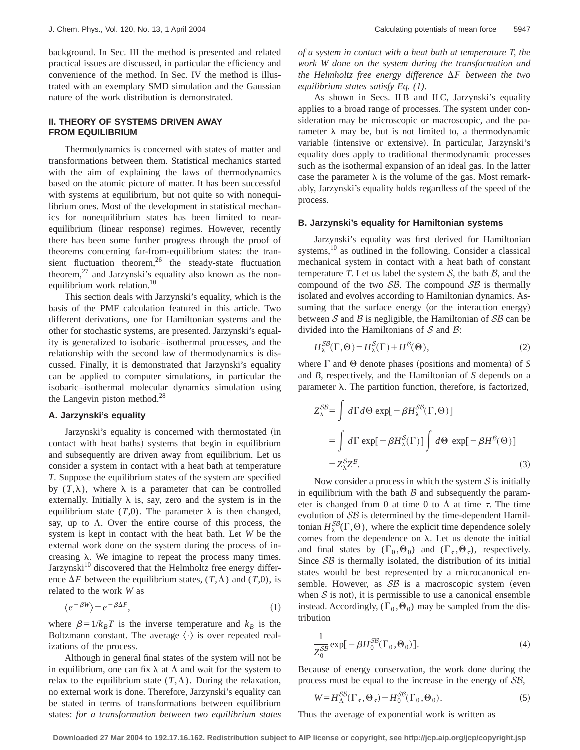background. In Sec. III the method is presented and related practical issues are discussed, in particular the efficiency and convenience of the method. In Sec. IV the method is illustrated with an exemplary SMD simulation and the Gaussian nature of the work distribution is demonstrated.

# **II. THEORY OF SYSTEMS DRIVEN AWAY FROM EQUILIBRIUM**

Thermodynamics is concerned with states of matter and transformations between them. Statistical mechanics started with the aim of explaining the laws of thermodynamics based on the atomic picture of matter. It has been successful with systems at equilibrium, but not quite so with nonequilibrium ones. Most of the development in statistical mechanics for nonequilibrium states has been limited to nearequilibrium (linear response) regimes. However, recently there has been some further progress through the proof of theorems concerning far-from-equilibrium states: the transient fluctuation theorem,  $26$  the steady-state fluctuation theorem, $^{27}$  and Jarzynski's equality also known as the nonequilibrium work relation.<sup>10</sup>

This section deals with Jarzynski's equality, which is the basis of the PMF calculation featured in this article. Two different derivations, one for Hamiltonian systems and the other for stochastic systems, are presented. Jarzynski's equality is generalized to isobaric–isothermal processes, and the relationship with the second law of thermodynamics is discussed. Finally, it is demonstrated that Jarzynski's equality can be applied to computer simulations, in particular the isobaric–isothermal molecular dynamics simulation using the Langevin piston method.<sup>28</sup>

## **A. Jarzynski's equality**

Jarzynski's equality is concerned with thermostated (in contact with heat baths) systems that begin in equilibrium and subsequently are driven away from equilibrium. Let us consider a system in contact with a heat bath at temperature *T*. Suppose the equilibrium states of the system are specified by  $(T, \lambda)$ , where  $\lambda$  is a parameter that can be controlled externally. Initially  $\lambda$  is, say, zero and the system is in the equilibrium state  $(T,0)$ . The parameter  $\lambda$  is then changed, say, up to  $\Lambda$ . Over the entire course of this process, the system is kept in contact with the heat bath. Let *W* be the external work done on the system during the process of increasing  $\lambda$ . We imagine to repeat the process many times. Jarzynski $10$  discovered that the Helmholtz free energy difference  $\Delta F$  between the equilibrium states,  $(T, \Lambda)$  and  $(T, 0)$ , is related to the work *W* as

$$
\langle e^{-\beta W} \rangle = e^{-\beta \Delta F},\tag{1}
$$

where  $\beta = 1/k_BT$  is the inverse temperature and  $k_B$  is the Boltzmann constant. The average  $\langle \cdot \rangle$  is over repeated realizations of the process.

Although in general final states of the system will not be in equilibrium, one can fix  $\lambda$  at  $\Lambda$  and wait for the system to relax to the equilibrium state  $(T, \Lambda)$ . During the relaxation, no external work is done. Therefore, Jarzynski's equality can be stated in terms of transformations between equilibrium states: *for a transformation between two equilibrium states* *of a system in contact with a heat bath at temperature T, the work W done on the system during the transformation and the Helmholtz free energy difference*  $\Delta F$  *between the two equilibrium states satisfy Eq. (1)*.

As shown in Secs. II B and II C, Jarzynski's equality applies to a broad range of processes. The system under consideration may be microscopic or macroscopic, and the parameter  $\lambda$  may be, but is not limited to, a thermodynamic variable (intensive or extensive). In particular, Jarzynski's equality does apply to traditional thermodynamic processes such as the isothermal expansion of an ideal gas. In the latter case the parameter  $\lambda$  is the volume of the gas. Most remarkably, Jarzynski's equality holds regardless of the speed of the process.

### **B. Jarzynski's equality for Hamiltonian systems**

Jarzynski's equality was first derived for Hamiltonian systems,10 as outlined in the following. Consider a classical mechanical system in contact with a heat bath of constant temperature *T*. Let us label the system  $S$ , the bath  $B$ , and the compound of the two  $\mathcal{SB}$ . The compound  $\mathcal{SB}$  is thermally isolated and evolves according to Hamiltonian dynamics. Assuming that the surface energy (or the interaction energy) between S and B is negligible, the Hamiltonian of  $SB$  can be divided into the Hamiltonians of  $S$  and  $\beta$ :

$$
H_{\lambda}^{SB}(\Gamma, \Theta) = H_{\lambda}^{S}(\Gamma) + H^{B}(\Theta), \qquad (2)
$$

where  $\Gamma$  and  $\Theta$  denote phases (positions and momenta) of *S* and *B*, respectively, and the Hamiltonian of *S* depends on a parameter  $\lambda$ . The partition function, therefore, is factorized,

$$
Z_{\lambda}^{SB} = \int d\Gamma d\Theta \exp[-\beta H_{\lambda}^{SB}(\Gamma, \Theta)]
$$
  
= 
$$
\int d\Gamma \exp[-\beta H_{\lambda}^{S}(\Gamma)] \int d\Theta \exp[-\beta H^{B}(\Theta)]
$$
  
= 
$$
Z_{\lambda}^{S}Z^{B}.
$$
 (3)

Now consider a process in which the system  $S$  is initially in equilibrium with the bath  $\beta$  and subsequently the parameter is changed from 0 at time 0 to  $\Lambda$  at time  $\tau$ . The time evolution of SB is determined by the time-dependent Hamiltonian  $H_{\lambda}^{SB}(\Gamma,\Theta)$ , where the explicit time dependence solely comes from the dependence on  $\lambda$ . Let us denote the initial and final states by  $(\Gamma_0, \Theta_0)$  and  $(\Gamma_\tau, \Theta_\tau)$ , respectively. Since  $\mathcal{SB}$  is thermally isolated, the distribution of its initial states would be best represented by a microcanonical ensemble. However, as  $\mathcal{SB}$  is a macroscopic system (even when  $S$  is not), it is permissible to use a canonical ensemble instead. Accordingly,  $(\Gamma_0, \Theta_0)$  may be sampled from the distribution

$$
\frac{1}{Z_0^{SB}} \exp[-\beta H_0^{SB}(\Gamma_0, \Theta_0)].
$$
\n(4)

Because of energy conservation, the work done during the process must be equal to the increase in the energy of SB,

$$
W = H_{\Lambda}^{SB}(\Gamma_{\tau}, \Theta_{\tau}) - H_0^{SB}(\Gamma_0, \Theta_0). \tag{5}
$$

Thus the average of exponential work is written as

**Downloaded 27 Mar 2004 to 192.17.16.162. Redistribution subject to AIP license or copyright, see http://jcp.aip.org/jcp/copyright.jsp**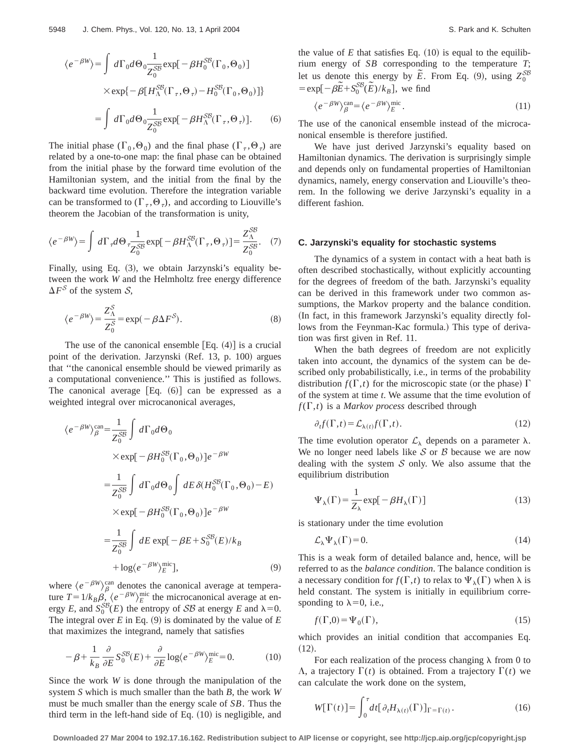$$
\langle e^{-\beta W} \rangle = \int d\Gamma_0 d\Theta_0 \frac{1}{Z_0^{SB}} \exp[-\beta H_0^{SB} (\Gamma_0, \Theta_0)]
$$
  
 
$$
\times \exp\{-\beta [H_{\Lambda}^{SB} (\Gamma_{\tau}, \Theta_{\tau}) - H_0^{SB} (\Gamma_0, \Theta_0)]\}
$$
  

$$
= \int d\Gamma_0 d\Theta_0 \frac{1}{Z_0^{SB}} \exp[-\beta H_{\Lambda}^{SB} (\Gamma_{\tau}, \Theta_{\tau})].
$$
 (6)

The initial phase  $(\Gamma_0, \Theta_0)$  and the final phase  $(\Gamma_{\tau}, \Theta_{\tau})$  are related by a one-to-one map: the final phase can be obtained from the initial phase by the forward time evolution of the Hamiltonian system, and the initial from the final by the backward time evolution. Therefore the integration variable can be transformed to  $(\Gamma_{\tau}, \Theta_{\tau})$ , and according to Liouville's theorem the Jacobian of the transformation is unity,

$$
\langle e^{-\beta W} \rangle = \int d\Gamma_{\tau} d\Theta \frac{1}{Z_0^{SB}} \exp[-\beta H_{\Lambda}^{SB}(\Gamma_{\tau}, \Theta_{\tau})] = \frac{Z_{\Lambda}^{SB}}{Z_0^{SB}}.
$$
 (7)

Finally, using Eq.  $(3)$ , we obtain Jarzynski's equality between the work *W* and the Helmholtz free energy difference  $\Delta F^{\mathcal{S}}$  of the system  $\mathcal{S}$ ,

$$
\langle e^{-\beta W} \rangle = \frac{Z_{\Lambda}^{S}}{Z_{0}^{S}} = \exp(-\beta \Delta F^{S}).
$$
\n(8)

The use of the canonical ensemble  $[Eq. (4)]$  is a crucial point of the derivation. Jarzynski (Ref. 13, p. 100) argues that ''the canonical ensemble should be viewed primarily as a computational convenience.'' This is justified as follows. The canonical average  $[Eq. (6)]$  can be expressed as a weighted integral over microcanonical averages,

$$
\langle e^{-\beta W} \rangle_{\beta}^{\text{can}} = \frac{1}{Z_0^{SB}} \int d\Gamma_0 d\Theta_0
$$
  
\n
$$
\times \exp[-\beta H_0^{SB}(\Gamma_0, \Theta_0)] e^{-\beta W}
$$
  
\n
$$
= \frac{1}{Z_0^{SB}} \int d\Gamma_0 d\Theta_0 \int dE \delta (H_0^{SB}(\Gamma_0, \Theta_0) - E)
$$
  
\n
$$
\times \exp[-\beta H_0^{SB}(\Gamma_0, \Theta_0)] e^{-\beta W}
$$
  
\n
$$
= \frac{1}{Z_0^{SB}} \int dE \exp[-\beta E + S_0^{SB}(E)/k_B
$$
  
\n
$$
+ \log \langle e^{-\beta W} \rangle_{E}^{\text{mic}}], \tag{9}
$$

where  $\langle e^{-\beta W} \rangle^{\text{can}}_{\beta}$  denotes the canonical average at temperature  $T = 1/k_B \beta$ ,  $\langle e^{-\beta W} \rangle_E^{\text{mic}}$  the microcanonical average at energy *E*, and  $S_0^{SB}(E)$  the entropy of *SB* at energy *E* and  $\lambda=0$ . The integral over  $E$  in Eq. (9) is dominated by the value of  $E$ that maximizes the integrand, namely that satisfies

$$
-\beta + \frac{1}{k_B} \frac{\partial}{\partial E} S_0^{SB}(E) + \frac{\partial}{\partial E} \log \langle e^{-\beta W} \rangle_E^{\text{mic}} = 0.
$$
 (10)

Since the work *W* is done through the manipulation of the system *S* which is much smaller than the bath *B*, the work *W* must be much smaller than the energy scale of *SB*. Thus the third term in the left-hand side of Eq.  $(10)$  is negligible, and the value of  $E$  that satisfies Eq.  $(10)$  is equal to the equilibrium energy of *SB* corresponding to the temperature *T*; let us denote this energy by  $\tilde{E}$ . From Eq. (9), using  $Z_0^{SB}$  $= \exp[-\beta \tilde{E} + S_0^{SB}(\tilde{E})/k_B]$ , we find

$$
\langle e^{-\beta W} \rangle_{\beta}^{\text{can}} = \langle e^{-\beta W} \rangle_{E}^{\text{mic}}.
$$
\n(11)

The use of the canonical ensemble instead of the microcanonical ensemble is therefore justified.

We have just derived Jarzynski's equality based on Hamiltonian dynamics. The derivation is surprisingly simple and depends only on fundamental properties of Hamiltonian dynamics, namely, energy conservation and Liouville's theorem. In the following we derive Jarzynski's equality in a different fashion.

#### **C. Jarzynski's equality for stochastic systems**

The dynamics of a system in contact with a heat bath is often described stochastically, without explicitly accounting for the degrees of freedom of the bath. Jarzynski's equality can be derived in this framework under two common assumptions, the Markov property and the balance condition. (In fact, in this framework Jarzynski's equality directly follows from the Feynman-Kac formula.) This type of derivation was first given in Ref. 11.

When the bath degrees of freedom are not explicitly taken into account, the dynamics of the system can be described only probabilistically, i.e., in terms of the probability distribution  $f(\Gamma, t)$  for the microscopic state (or the phase)  $\Gamma$ of the system at time *t*. We assume that the time evolution of  $f(\Gamma, t)$  is a *Markov process* described through

$$
\partial_t f(\Gamma, t) = \mathcal{L}_{\lambda(t)} f(\Gamma, t). \tag{12}
$$

The time evolution operator  $\mathcal{L}_{\lambda}$  depends on a parameter  $\lambda$ . We no longer need labels like  $S$  or  $B$  because we are now dealing with the system  $S$  only. We also assume that the equilibrium distribution

$$
\Psi_{\lambda}(\Gamma) = \frac{1}{Z_{\lambda}} \exp[-\beta H_{\lambda}(\Gamma)] \tag{13}
$$

is stationary under the time evolution

$$
\mathcal{L}_{\lambda} \Psi_{\lambda}(\Gamma) = 0. \tag{14}
$$

This is a weak form of detailed balance and, hence, will be referred to as the *balance condition*. The balance condition is a necessary condition for  $f(\Gamma,t)$  to relax to  $\Psi_\lambda(\Gamma)$  when  $\lambda$  is held constant. The system is initially in equilibrium corresponding to  $\lambda=0$ , i.e.,

$$
f(\Gamma,0) = \Psi_0(\Gamma),\tag{15}
$$

which provides an initial condition that accompanies Eq.  $(12).$ 

For each realization of the process changing  $\lambda$  from 0 to  $\Lambda$ , a trajectory  $\Gamma(t)$  is obtained. From a trajectory  $\Gamma(t)$  we can calculate the work done on the system,

$$
W[\Gamma(t)] = \int_0^{\tau} dt [\partial_t H_{\lambda(t)}(\Gamma)]_{\Gamma = \Gamma(t)}.
$$
 (16)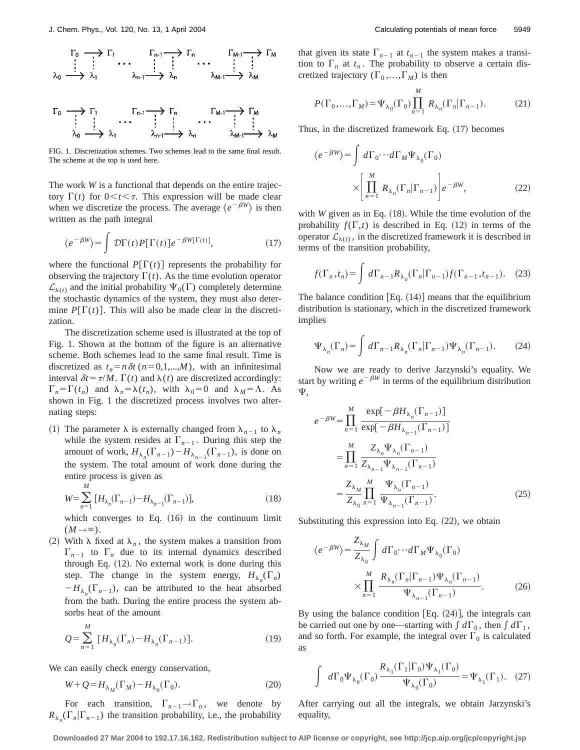$$
\begin{array}{ccccccc}\n\Gamma_0 & \longrightarrow & \Gamma_1 & & \Gamma_{m-1} \longrightarrow & \Gamma_m & & \Gamma_{M-1} \longrightarrow & \Gamma_M \\
\vdots & \vdots & & \ddots & & \vdots & \\
\lambda_0 & \longrightarrow & \lambda_1 & & \lambda_{n-1} \longrightarrow & \lambda_m & & \lambda_{M-1} \longrightarrow & \lambda_M\n\end{array}
$$

$$
\begin{matrix}\Gamma_0 & \longrightarrow & \Gamma_1 & & \Gamma_{n-1} & \longrightarrow & \Gamma_n & & \Gamma_{M-1} & \longrightarrow & \Gamma_M\\ \vdots & \vdots & \ddots & \vdots & \vdots & \vdots & \vdots & \vdots & \vdots\\ \lambda_0 & \longrightarrow & \lambda_1 & & \lambda_{n-1} & \longrightarrow & \lambda_n & & \lambda_{M-1} & \longrightarrow & \lambda_N\end{matrix}
$$

FIG. 1. Discretization schemes. Two schemes lead to the same final result. The scheme at the top is used here.

The work *W* is a functional that depends on the entire trajectory  $\Gamma(t)$  for  $0 \lt t \lt \tau$ . This expression will be made clear when we discretize the process. The average  $\langle e^{-\beta W} \rangle$  is then written as the path integral

$$
\langle e^{-\beta W} \rangle = \int \mathcal{D}\Gamma(t) P[\Gamma(t)] e^{-\beta W[\Gamma(t)]}, \qquad (17)
$$

where the functional  $P[\Gamma(t)]$  represents the probability for observing the trajectory  $\Gamma(t)$ . As the time evolution operator  $\mathcal{L}_{\lambda(t)}$  and the initial probability  $\Psi_0(\Gamma)$  completely determine the stochastic dynamics of the system, they must also determine  $P[\Gamma(t)]$ . This will also be made clear in the discretization.

The discretization scheme used is illustrated at the top of Fig. 1. Shown at the bottom of the figure is an alternative scheme. Both schemes lead to the same final result. Time is discretized as  $t_n=n\delta t$  ( $n=0,1,...,M$ ), with an infinitesimal interval  $\delta t = \tau / M$ .  $\Gamma(t)$  and  $\lambda(t)$  are discretized accordingly:  $\Gamma_n = \Gamma(t_n)$  and  $\lambda_n = \lambda(t_n)$ , with  $\lambda_0 = 0$  and  $\lambda_M = \Lambda$ . As shown in Fig. 1 the discretized process involves two alternating steps:

(1) The parameter  $\lambda$  is externally changed from  $\lambda_{n-1}$  to  $\lambda_n$ while the system resides at  $\Gamma_{n-1}$ . During this step the amount of work,  $H_{\lambda_n}(\Gamma_{n-1}) - H_{\lambda_{n-1}}(\Gamma_{n-1})$ , is done on the system. The total amount of work done during the entire process is given as *M*

$$
W = \sum_{n=1}^{M} [H_{\lambda_n}(\Gamma_{n-1}) - H_{\lambda_{n-1}}(\Gamma_{n-1})],
$$
\n(18)

which converges to Eq.  $(16)$  in the continuum limit  $(M\rightarrow\infty)$ .

(2) With  $\lambda$  fixed at  $\lambda_n$ , the system makes a transition from  $\Gamma_{n-1}$  to  $\Gamma_n$  due to its internal dynamics described through Eq.  $(12)$ . No external work is done during this step. The change in the system energy,  $H_{\lambda_n}(\Gamma_n)$  $-H_{\lambda_n}(\Gamma_{n-1})$ , can be attributed to the heat absorbed from the bath. During the entire process the system absorbs heat of the amount *M*

$$
Q = \sum_{n=1}^{M} \left[ H_{\lambda_n}(\Gamma_n) - H_{\lambda_n}(\Gamma_{n-1}) \right].
$$
 (19)

We can easily check energy conservation,

$$
W + Q = H_{\lambda_M}(\Gamma_M) - H_{\lambda_0}(\Gamma_0). \tag{20}
$$

For each transition,  $\Gamma_{n-1} \to \Gamma_n$ , we denote by  $R_{\lambda_n}(\Gamma_n|\Gamma_{n-1})$  the transition probability, i.e., the probability that given its state  $\Gamma_{n-1}$  at  $t_{n-1}$  the system makes a transition to  $\Gamma_n$  at  $t_n$ . The probability to observe a certain discretized trajectory  $(\Gamma_0, ..., \Gamma_M)$  is then

$$
P(\Gamma_0, \dots, \Gamma_M) = \Psi_{\lambda_0}(\Gamma_0) \prod_{n=1}^M R_{\lambda_n}(\Gamma_n | \Gamma_{n-1}).
$$
 (21)

Thus, in the discretized framework Eq.  $(17)$  becomes

$$
\langle e^{-\beta W} \rangle = \int d\Gamma_0 \cdots d\Gamma_M \Psi_{\lambda_0}(\Gamma_0)
$$

$$
\times \left[ \prod_{n=1}^M R_{\lambda_n}(\Gamma_n | \Gamma_{n-1}) \right] e^{-\beta W}, \tag{22}
$$

with  $W$  given as in Eq.  $(18)$ . While the time evolution of the probability  $f(\Gamma, t)$  is described in Eq. (12) in terms of the operator  $\mathcal{L}_{\lambda(t)}$ , in the discretized framework it is described in terms of the transition probability,

$$
f(\Gamma_n, t_n) = \int d\Gamma_{n-1} R_{\lambda_n}(\Gamma_n | \Gamma_{n-1}) f(\Gamma_{n-1}, t_{n-1}). \quad (23)
$$

The balance condition  $[Eq. (14)]$  means that the equilibrium distribution is stationary, which in the discretized framework implies

$$
\Psi_{\lambda_n}(\Gamma_n) = \int d\Gamma_{n-1} R_{\lambda_n}(\Gamma_n | \Gamma_{n-1}) \Psi_{\lambda_n}(\Gamma_{n-1}). \tag{24}
$$

Now we are ready to derive Jarzynski's equality. We start by writing  $e^{-\beta W}$  in terms of the equilibrium distribution  $\Psi$ .

$$
e^{-\beta W} = \prod_{n=1}^{M} \frac{\exp[-\beta H_{\lambda_n}(\Gamma_{n-1})]}{\exp[-\beta H_{\lambda_{n-1}}(\Gamma_{n-1})]}
$$
  

$$
= \prod_{n=1}^{M} \frac{Z_{\lambda_n} \Psi_{\lambda_n}(\Gamma_{n-1})}{Z_{\lambda_{n-1}} \Psi_{\lambda_{n-1}}(\Gamma_{n-1})}
$$
  

$$
= \frac{Z_{\lambda_M} M}{Z_{\lambda_0}} \prod_{n=1}^{M} \frac{\Psi_{\lambda_n}(\Gamma_{n-1})}{\Psi_{\lambda_{n-1}}(\Gamma_{n-1})}.
$$
 (25)

Substituting this expression into Eq.  $(22)$ , we obtain

$$
\langle e^{-\beta W} \rangle = \frac{Z_{\lambda_M}}{Z_{\lambda_0}} \int d\Gamma_0 \cdots d\Gamma_M \Psi_{\lambda_0}(\Gamma_0)
$$

$$
\times \prod_{n=1}^M \frac{R_{\lambda_n}(\Gamma_n | \Gamma_{n-1}) \Psi_{\lambda_n}(\Gamma_{n-1})}{\Psi_{\lambda_{n-1}}(\Gamma_{n-1})}.
$$
 (26)

By using the balance condition  $[Eq. (24)]$ , the integrals can be carried out one by one—starting with  $\int d\Gamma_0$ , then  $\int d\Gamma_1$ , and so forth. For example, the integral over  $\Gamma_0$  is calculated as

$$
\int d\Gamma_0 \Psi_{\lambda_0}(\Gamma_0) \frac{R_{\lambda_1}(\Gamma_1 | \Gamma_0) \Psi_{\lambda_1}(\Gamma_0)}{\Psi_{\lambda_0}(\Gamma_0)} = \Psi_{\lambda_1}(\Gamma_1). \quad (27)
$$

After carrying out all the integrals, we obtain Jarzynski's equality,

**Downloaded 27 Mar 2004 to 192.17.16.162. Redistribution subject to AIP license or copyright, see http://jcp.aip.org/jcp/copyright.jsp**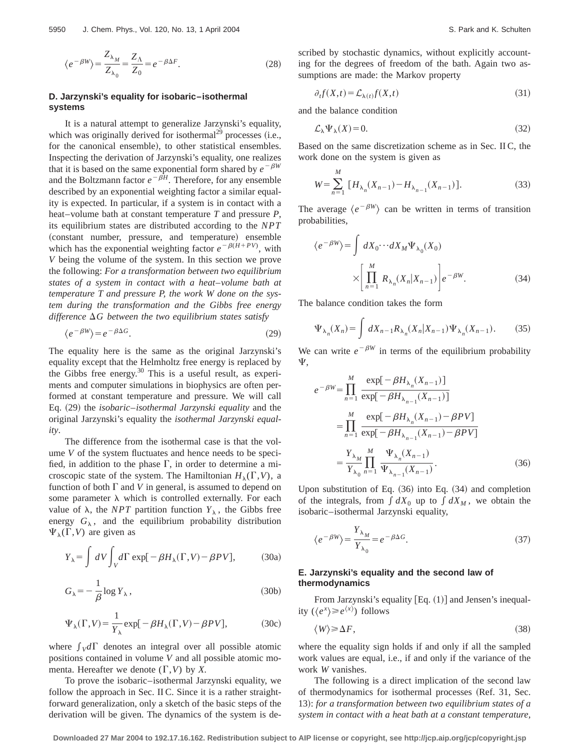$$
\langle e^{-\beta W} \rangle = \frac{Z_{\lambda_M}}{Z_{\lambda_0}} = \frac{Z_{\Lambda}}{Z_0} = e^{-\beta \Delta F}.
$$
 (28)

## **D. Jarzynski's equality for isobaric–isothermal systems**

It is a natural attempt to generalize Jarzynski's equality, which was originally derived for isothermal<sup>29</sup> processes (i.e., for the canonical ensemble), to other statistical ensembles. Inspecting the derivation of Jarzynski's equality, one realizes that it is based on the same exponential form shared by  $e^{-\beta W}$ and the Boltzmann factor  $e^{-\beta H}$ . Therefore, for any ensemble described by an exponential weighting factor a similar equality is expected. In particular, if a system is in contact with a heat–volume bath at constant temperature *T* and pressure *P*, its equilibrium states are distributed according to the *NPT* (constant number, pressure, and temperature) ensemble which has the exponential weighting factor  $e^{-\beta(H+PV)}$ , with *V* being the volume of the system. In this section we prove the following: *For a transformation between two equilibrium states of a system in contact with a heat*–*volume bath at temperature T and pressure P, the work W done on the system during the transformation and the Gibbs free energy*  $d$ *ifference*  $\Delta G$  between the two equilibrium states satisfy

$$
\langle e^{-\beta W} \rangle = e^{-\beta \Delta G}.\tag{29}
$$

The equality here is the same as the original Jarzynski's equality except that the Helmholtz free energy is replaced by the Gibbs free energy. $30$  This is a useful result, as experiments and computer simulations in biophysics are often performed at constant temperature and pressure. We will call Eq. ~29! the *isobaric*–*isothermal Jarzynski equality* and the original Jarzynski's equality the *isothermal Jarzynski equality*.

The difference from the isothermal case is that the volume *V* of the system fluctuates and hence needs to be specified, in addition to the phase  $\Gamma$ , in order to determine a microscopic state of the system. The Hamiltonian  $H_{\lambda}(\Gamma, V)$ , a function of both  $\Gamma$  and *V* in general, is assumed to depend on some parameter  $\lambda$  which is controlled externally. For each value of  $\lambda$ , the *NPT* partition function  $Y_{\lambda}$ , the Gibbs free energy  $G_{\lambda}$ , and the equilibrium probability distribution  $\Psi_{\lambda}(\Gamma,V)$  are given as

$$
Y_{\lambda} = \int dV \int_{V} d\Gamma \exp[-\beta H_{\lambda}(\Gamma, V) - \beta PV], \tag{30a}
$$

$$
G_{\lambda} = -\frac{1}{\beta} \log Y_{\lambda},\tag{30b}
$$

$$
\Psi_{\lambda}(\Gamma, V) = \frac{1}{Y_{\lambda}} \exp[-\beta H_{\lambda}(\Gamma, V) - \beta PV],
$$
\n(30c)

where  $\int_V d\Gamma$  denotes an integral over all possible atomic positions contained in volume *V* and all possible atomic momenta. Hereafter we denote  $(\Gamma, V)$  by X.

To prove the isobaric–isothermal Jarzynski equality, we follow the approach in Sec. II C. Since it is a rather straightforward generalization, only a sketch of the basic steps of the derivation will be given. The dynamics of the system is described by stochastic dynamics, without explicitly accounting for the degrees of freedom of the bath. Again two assumptions are made: the Markov property

$$
\partial_t f(X,t) = \mathcal{L}_{\lambda(t)} f(X,t) \tag{31}
$$

and the balance condition

$$
\mathcal{L}_{\lambda} \Psi_{\lambda}(X) = 0. \tag{32}
$$

Based on the same discretization scheme as in Sec. II C, the work done on the system is given as

$$
W = \sum_{n=1}^{M} \left[ H_{\lambda_n}(X_{n-1}) - H_{\lambda_{n-1}}(X_{n-1}) \right].
$$
 (33)

The average  $\langle e^{-\beta W} \rangle$  can be written in terms of transition probabilities,

$$
\langle e^{-\beta W} \rangle = \int dX_0 \cdots dX_M \Psi_{\lambda_0}(X_0)
$$

$$
\times \left[ \prod_{n=1}^M R_{\lambda_n}(X_n | X_{n-1}) \right] e^{-\beta W}.
$$
 (34)

The balance condition takes the form

$$
\Psi_{\lambda_n}(X_n) = \int dX_{n-1} R_{\lambda_n}(X_n | X_{n-1}) \Psi_{\lambda_n}(X_{n-1}). \tag{35}
$$

We can write  $e^{-\beta W}$  in terms of the equilibrium probability  $\Psi$ .

$$
e^{-\beta W} = \prod_{n=1}^{M} \frac{\exp[-\beta H_{\lambda_n}(X_{n-1})]}{\exp[-\beta H_{\lambda_{n-1}}(X_{n-1})]}
$$
  
\n
$$
= \prod_{n=1}^{M} \frac{\exp[-\beta H_{\lambda_n}(X_{n-1}) - \beta PV]}{\exp[-\beta H_{\lambda_{n-1}}(X_{n-1}) - \beta PV]}
$$
  
\n
$$
= \frac{Y_{\lambda_M}}{Y_{\lambda_0}} \prod_{n=1}^{M} \frac{\Psi_{\lambda_n}(X_{n-1})}{\Psi_{\lambda_{n-1}}(X_{n-1})}.
$$
 (36)

Upon substitution of Eq.  $(36)$  into Eq.  $(34)$  and completion of the integrals, from  $\int dX_0$  up to  $\int dX_M$ , we obtain the isobaric–isothermal Jarzynski equality,

$$
\langle e^{-\beta W} \rangle = \frac{Y_{\lambda_M}}{Y_{\lambda_0}} = e^{-\beta \Delta G}.
$$
 (37)

## **E. Jarzynski's equality and the second law of thermodynamics**

From Jarzynski's equality  $[Eq. (1)]$  and Jensen's inequality  $(\langle e^x \rangle \geq e^{\langle x \rangle})$  follows

$$
\langle W \rangle \ge \Delta F,\tag{38}
$$

where the equality sign holds if and only if all the sampled work values are equal, i.e., if and only if the variance of the work *W* vanishes.

The following is a direct implication of the second law of thermodynamics for isothermal processes (Ref. 31, Sec. 13!: *for a transformation between two equilibrium states of a system in contact with a heat bath at a constant temperature,*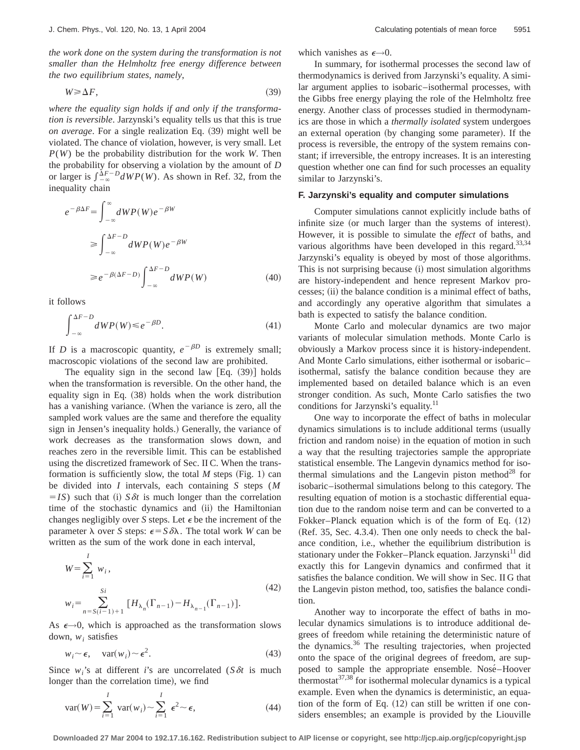*the work done on the system during the transformation is not smaller than the Helmholtz free energy difference between the two equilibrium states, namely*,

$$
W \geq \Delta F,\tag{39}
$$

*where the equality sign holds if and only if the transformation is reversible*. Jarzynski's equality tells us that this is true *on average*. For a single realization Eq.  $(39)$  might well be violated. The chance of violation, however, is very small. Let *P*(*W*) be the probability distribution for the work *W*. Then the probability for observing a violation by the amount of *D* or larger is  $\int_{-\infty}^{\Delta F - D} dW P(W)$ . As shown in Ref. 32, from the inequality chain

$$
e^{-\beta \Delta F} = \int_{-\infty}^{\infty} dW P(W) e^{-\beta W}
$$
  
\n
$$
\geq \int_{-\infty}^{\Delta F - D} dW P(W) e^{-\beta W}
$$
  
\n
$$
\geq e^{-\beta(\Delta F - D)} \int_{-\infty}^{\Delta F - D} dW P(W)
$$
 (40)

it follows

$$
\int_{-\infty}^{\Delta F - D} dW P(W) \le e^{-\beta D}.
$$
\n(41)

If *D* is a macroscopic quantity,  $e^{-\beta D}$  is extremely small; macroscopic violations of the second law are prohibited.

The equality sign in the second law  $[Eq. (39)]$  holds when the transformation is reversible. On the other hand, the equality sign in Eq.  $(38)$  holds when the work distribution has a vanishing variance. (When the variance is zero, all the sampled work values are the same and therefore the equality sign in Jensen's inequality holds.) Generally, the variance of work decreases as the transformation slows down, and reaches zero in the reversible limit. This can be established using the discretized framework of Sec. II C. When the transformation is sufficiently slow, the total  $M$  steps (Fig. 1) can be divided into *I* intervals, each containing *S* steps (*M*  $=$ *IS*) such that (i) *S* $\delta t$  is much longer than the correlation time of the stochastic dynamics and (ii) the Hamiltonian changes negligibly over *S* steps. Let  $\epsilon$  be the increment of the parameter  $\lambda$  over *S* steps:  $\epsilon = S \delta \lambda$ . The total work *W* can be written as the sum of the work done in each interval,

$$
W = \sum_{i=1}^{I} w_i,
$$
  
\n
$$
w_i = \sum_{n=S(i-1)+1}^{S_i} [H_{\lambda_n}(\Gamma_{n-1}) - H_{\lambda_{n-1}}(\Gamma_{n-1})].
$$
\n(42)

As  $\epsilon \rightarrow 0$ , which is approached as the transformation slows down, *wi* satisfies

$$
w_i \sim \epsilon, \quad \text{var}(w_i) \sim \epsilon^2. \tag{43}
$$

Since  $w_i$ 's at different *i*'s are uncorrelated (*S*  $\delta t$  is much longer than the correlation time), we find

$$
var(W) = \sum_{i=1}^{I} var(w_i) \sim \sum_{i=1}^{I} \epsilon^2 \sim \epsilon,
$$
 (44)

which vanishes as  $\epsilon \rightarrow 0$ .

In summary, for isothermal processes the second law of thermodynamics is derived from Jarzynski's equality. A similar argument applies to isobaric–isothermal processes, with the Gibbs free energy playing the role of the Helmholtz free energy. Another class of processes studied in thermodynamics are those in which a *thermally isolated* system undergoes an external operation (by changing some parameter). If the process is reversible, the entropy of the system remains constant; if irreversible, the entropy increases. It is an interesting question whether one can find for such processes an equality similar to Jarzynski's.

### **F. Jarzynski's equality and computer simulations**

Computer simulations cannot explicitly include baths of infinite size (or much larger than the systems of interest). However, it is possible to simulate the *effect* of baths, and various algorithms have been developed in this regard.<sup>33,34</sup> Jarzynski's equality is obeyed by most of those algorithms. This is not surprising because (i) most simulation algorithms are history-independent and hence represent Markov processes; (ii) the balance condition is a minimal effect of baths, and accordingly any operative algorithm that simulates a bath is expected to satisfy the balance condition.

Monte Carlo and molecular dynamics are two major variants of molecular simulation methods. Monte Carlo is obviously a Markov process since it is history-independent. And Monte Carlo simulations, either isothermal or isobaric– isothermal, satisfy the balance condition because they are implemented based on detailed balance which is an even stronger condition. As such, Monte Carlo satisfies the two conditions for Jarzynski's equality.<sup>11</sup>

One way to incorporate the effect of baths in molecular dynamics simulations is to include additional terms (usually friction and random noise) in the equation of motion in such a way that the resulting trajectories sample the appropriate statistical ensemble. The Langevin dynamics method for isothermal simulations and the Langevin piston method<sup>28</sup> for isobaric–isothermal simulations belong to this category. The resulting equation of motion is a stochastic differential equation due to the random noise term and can be converted to a Fokker–Planck equation which is of the form of Eq.  $(12)$  $(Ref. 35, Sec. 4.3.4).$  Then one only needs to check the balance condition, i.e., whether the equilibrium distribution is stationary under the Fokker–Planck equation. Jarzynski<sup>11</sup> did exactly this for Langevin dynamics and confirmed that it satisfies the balance condition. We will show in Sec. II G that the Langevin piston method, too, satisfies the balance condition.

Another way to incorporate the effect of baths in molecular dynamics simulations is to introduce additional degrees of freedom while retaining the deterministic nature of the dynamics. $36$  The resulting trajectories, when projected onto the space of the original degrees of freedom, are supposed to sample the appropriate ensemble. Nosé-Hoover thermostat $37,38$  for isothermal molecular dynamics is a typical example. Even when the dynamics is deterministic, an equation of the form of Eq.  $(12)$  can still be written if one considers ensembles; an example is provided by the Liouville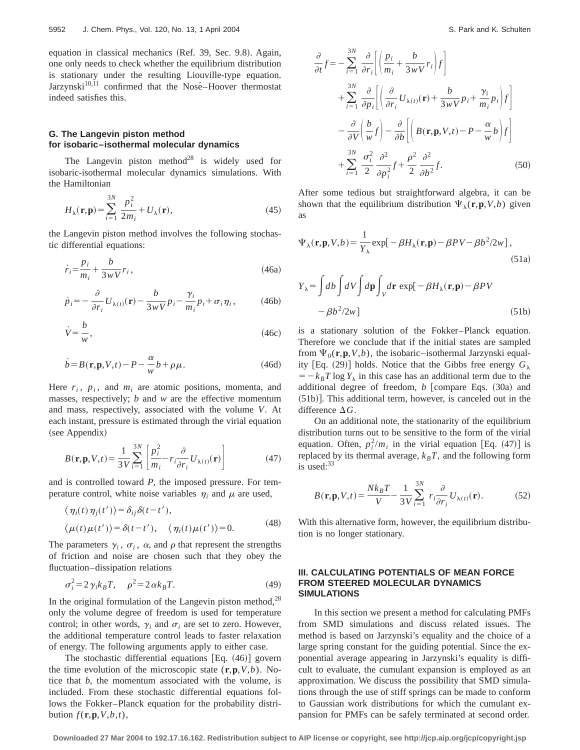equation in classical mechanics (Ref. 39, Sec. 9.8). Again, one only needs to check whether the equilibrium distribution is stationary under the resulting Liouville-type equation. Jarzynski $10,11$  confirmed that the Nosé-Hoover thermostat indeed satisfies this.

# **G. The Langevin piston method for isobaric–isothermal molecular dynamics**

The Langevin piston method<sup>28</sup> is widely used for isobaric-isothermal molecular dynamics simulations. With the Hamiltonian

$$
H_{\lambda}(\mathbf{r}, \mathbf{p}) = \sum_{i=1}^{3N} \frac{p_i^2}{2m_i} + U_{\lambda}(\mathbf{r}),
$$
\n(45)

the Langevin piston method involves the following stochastic differential equations:

$$
\dot{r}_i = \frac{p_i}{m_i} + \frac{b}{3wV}r_i,
$$
\n(46a)

$$
\dot{p}_i = -\frac{\partial}{\partial r_i} U_{\lambda(t)}(\mathbf{r}) - \frac{b}{3wV} p_i - \frac{\gamma_i}{m_i} p_i + \sigma_i \eta_i, \tag{46b}
$$

$$
\dot{V} = \frac{b}{w},\tag{46c}
$$

$$
\dot{b} = B(\mathbf{r}, \mathbf{p}, V, t) - P - \frac{\alpha}{w} b + \rho \mu.
$$
 (46d)

Here  $r_i$ ,  $p_i$ , and  $m_i$  are atomic positions, momenta, and masses, respectively; *b* and *w* are the effective momentum and mass, respectively, associated with the volume *V*. At each instant, pressure is estimated through the virial equation (see Appendix)

$$
B(\mathbf{r}, \mathbf{p}, V, t) = \frac{1}{3V} \sum_{i=1}^{3N} \left[ \frac{p_i^2}{m_i} - r_i \frac{\partial}{\partial r_i} U_{\lambda(t)}(\mathbf{r}) \right]
$$
(47)

and is controlled toward *P*, the imposed pressure. For temperature control, white noise variables  $\eta_i$  and  $\mu$  are used,

$$
\langle \eta_i(t) \eta_j(t') \rangle = \delta_{ij} \delta(t - t'),
$$
  

$$
\langle \mu(t) \mu(t') \rangle = \delta(t - t'), \quad \langle \eta_i(t) \mu(t') \rangle = 0.
$$
 (48)

The parameters  $\gamma_i$ ,  $\sigma_i$ ,  $\alpha$ , and  $\rho$  that represent the strengths of friction and noise are chosen such that they obey the fluctuation–dissipation relations

$$
\sigma_i^2 = 2 \gamma_i k_B T, \quad \rho^2 = 2 \alpha k_B T. \tag{49}
$$

In the original formulation of the Langevin piston method, $^{28}$ only the volume degree of freedom is used for temperature control; in other words,  $\gamma_i$  and  $\sigma_i$  are set to zero. However, the additional temperature control leads to faster relaxation of energy. The following arguments apply to either case.

The stochastic differential equations  $[Eq. (46)]$  govern the time evolution of the microscopic state  $(\mathbf{r}, \mathbf{p}, V, b)$ . Notice that *b*, the momentum associated with the volume, is included. From these stochastic differential equations follows the Fokker–Planck equation for the probability distribution  $f(\mathbf{r}, \mathbf{p}, V, b, t)$ ,

$$
\frac{\partial}{\partial t} f = -\sum_{i=1}^{3N} \frac{\partial}{\partial r_i} \left[ \left( \frac{p_i}{m_i} + \frac{b}{3wV} r_i \right) f \right]
$$
  
+ 
$$
\sum_{i=1}^{3N} \frac{\partial}{\partial p_i} \left[ \left( \frac{\partial}{\partial r_i} U_{\lambda(t)}(\mathbf{r}) + \frac{b}{3wV} p_i + \frac{\gamma_i}{m_i} p_i \right) f \right]
$$
  
- 
$$
\frac{\partial}{\partial V} \left( \frac{b}{w} f \right) - \frac{\partial}{\partial b} \left[ \left( B(\mathbf{r}, \mathbf{p}, V, t) - P - \frac{\alpha}{w} b \right) f \right]
$$
  
+ 
$$
\sum_{i=1}^{3N} \frac{\sigma_i^2}{2} \frac{\partial^2}{\partial p_i^2} f + \frac{\rho^2}{2} \frac{\partial^2}{\partial b^2} f. \tag{50}
$$

After some tedious but straightforward algebra, it can be shown that the equilibrium distribution  $\Psi_{\lambda}(\mathbf{r}, \mathbf{p}, V, b)$  given as

$$
\Psi_{\lambda}(\mathbf{r}, \mathbf{p}, V, b) = \frac{1}{Y_{\lambda}} \exp[-\beta H_{\lambda}(\mathbf{r}, \mathbf{p}) - \beta PV - \beta b^2 / 2w],
$$
\n(51a)

$$
Y_{\lambda} = \int db \int dV \int d\mathbf{p} \int_{V} d\mathbf{r} \exp[-\beta H_{\lambda}(\mathbf{r}, \mathbf{p}) - \beta PV - \beta b^{2}/2w]
$$
 (51b)

is a stationary solution of the Fokker–Planck equation. Therefore we conclude that if the initial states are sampled from  $\Psi_0(\mathbf{r}, \mathbf{p}, V, b)$ , the isobaric–isothermal Jarzynski equality [Eq. (29)] holds. Notice that the Gibbs free energy  $G_{\lambda}$  $=$   $-k_B T \log Y_\lambda$  in this case has an additional term due to the additional degree of freedom, *b* [compare Eqs. (30a) and  $(51b)$ . This additional term, however, is canceled out in the difference  $\Delta G$ .

On an additional note, the stationarity of the equilibrium distribution turns out to be sensitive to the form of the virial equation. Often,  $p_i^2/m_i$  in the virial equation [Eq. (47)] is replaced by its thermal average,  $k_B T$ , and the following form is used: $33$ 

$$
B(\mathbf{r}, \mathbf{p}, V, t) = \frac{N k_B T}{V} - \frac{1}{3V} \sum_{i=1}^{3N} r_i \frac{\partial}{\partial r_i} U_{\lambda(t)}(\mathbf{r}).
$$
 (52)

With this alternative form, however, the equilibrium distribution is no longer stationary.

## **III. CALCULATING POTENTIALS OF MEAN FORCE FROM STEERED MOLECULAR DYNAMICS SIMULATIONS**

In this section we present a method for calculating PMFs from SMD simulations and discuss related issues. The method is based on Jarzynski's equality and the choice of a large spring constant for the guiding potential. Since the exponential average appearing in Jarzynski's equality is difficult to evaluate, the cumulant expansion is employed as an approximation. We discuss the possibility that SMD simulations through the use of stiff springs can be made to conform to Gaussian work distributions for which the cumulant expansion for PMFs can be safely terminated at second order.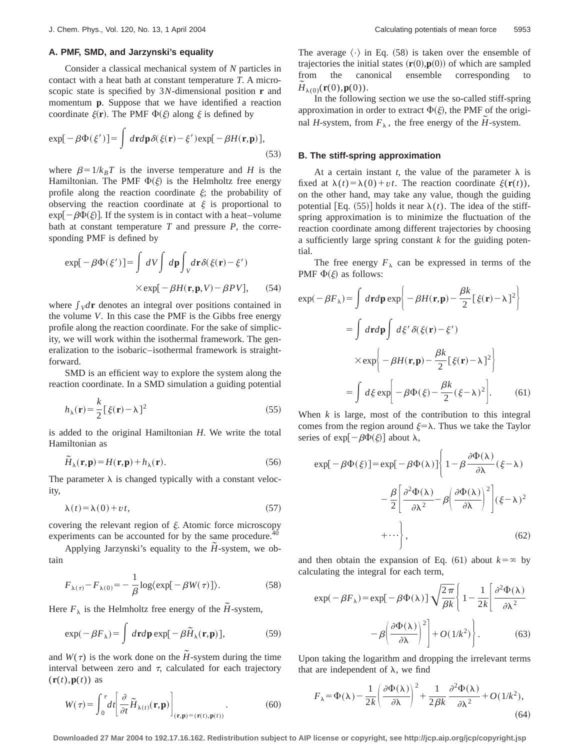## **A. PMF, SMD, and Jarzynski's equality**

Consider a classical mechanical system of *N* particles in contact with a heat bath at constant temperature *T*. A microscopic state is specified by 3*N*-dimensional position **r** and momentum **p**. Suppose that we have identified a reaction coordinate  $\xi(\mathbf{r})$ . The PMF  $\Phi(\xi)$  along  $\xi$  is defined by

$$
\exp[-\beta \Phi(\xi')] = \int d\mathbf{r} d\mathbf{p} \delta(\xi(\mathbf{r}) - \xi') \exp[-\beta H(\mathbf{r}, \mathbf{p})],
$$
\n(53)

where  $\beta = 1/k_B T$  is the inverse temperature and *H* is the Hamiltonian. The PMF  $\Phi(\xi)$  is the Helmholtz free energy profile along the reaction coordinate  $\xi$ ; the probability of observing the reaction coordinate at  $\xi$  is proportional to  $exp[-\beta\Phi(\xi)]$ . If the system is in contact with a heat–volume bath at constant temperature *T* and pressure *P*, the corresponding PMF is defined by

$$
\exp[-\beta \Phi(\xi')] = \int dV \int d\mathbf{p} \int_{V} d\mathbf{r} \delta(\xi(\mathbf{r}) - \xi')
$$
  
×
$$
\exp[-\beta H(\mathbf{r}, \mathbf{p}, V) - \beta PV], \quad (54)
$$

where  $\int \rho \, d\mathbf{r}$  denotes an integral over positions contained in the volume *V*. In this case the PMF is the Gibbs free energy profile along the reaction coordinate. For the sake of simplicity, we will work within the isothermal framework. The generalization to the isobaric–isothermal framework is straightforward.

SMD is an efficient way to explore the system along the reaction coordinate. In a SMD simulation a guiding potential

$$
h_{\lambda}(\mathbf{r}) = \frac{k}{2} [\xi(\mathbf{r}) - \lambda]^2
$$
 (55)

is added to the original Hamiltonian *H*. We write the total Hamiltonian as

$$
\widetilde{H}_{\lambda}(\mathbf{r}, \mathbf{p}) = H(\mathbf{r}, \mathbf{p}) + h_{\lambda}(\mathbf{r}).
$$
\n(56)

The parameter  $\lambda$  is changed typically with a constant velocity,

$$
\lambda(t) = \lambda(0) + vt,\tag{57}
$$

covering the relevant region of  $\xi$ . Atomic force microscopy experiments can be accounted for by the same procedure.<sup>40</sup>

Applying Jarzynski's equality to the  $H$ -system, we obtain

$$
F_{\lambda(\tau)} - F_{\lambda(0)} = -\frac{1}{\beta} \log \langle \exp[-\beta W(\tau)] \rangle.
$$
 (58)

Here  $F_{\lambda}$  is the Helmholtz free energy of the *H*-system,

$$
\exp(-\beta F_{\lambda}) = \int d\mathbf{r}d\mathbf{p} \exp[-\beta \tilde{H}_{\lambda}(\mathbf{r}, \mathbf{p})],
$$
 (59)

and  $W(\tau)$  is the work done on the  $\tilde{H}$ -system during the time interval between zero and  $\tau$ , calculated for each trajectory  $(\mathbf{r}(t), \mathbf{p}(t))$  as

$$
W(\tau) = \int_0^{\tau} dt \left[ \frac{\partial}{\partial t} \widetilde{H}_{\lambda(t)}(\mathbf{r}, \mathbf{p}) \right]_{(\mathbf{r}, \mathbf{p}) = (\mathbf{r}(t), \mathbf{p}(t))}.
$$
 (60)

The average  $\langle \cdot \rangle$  in Eq. (58) is taken over the ensemble of trajectories the initial states  $(**r**(0),**p**(0))$  of which are sampled from the canonical ensemble corresponding to  $\tilde{H}_{\lambda(0)}({\bf r}(0),{\bf p}(0)).$ 

In the following section we use the so-called stiff-spring approximation in order to extract  $\Phi(\xi)$ , the PMF of the original *H*-system, from  $F_{\lambda}$ , the free energy of the *H*-system.

#### **B. The stiff-spring approximation**

At a certain instant *t*, the value of the parameter  $\lambda$  is fixed at  $\lambda(t) = \lambda(0) + vt$ . The reaction coordinate  $\xi(\mathbf{r}(t))$ , on the other hand, may take any value, though the guiding potential [Eq.  $(55)$ ] holds it near  $\lambda(t)$ . The idea of the stiffspring approximation is to minimize the fluctuation of the reaction coordinate among different trajectories by choosing a sufficiently large spring constant *k* for the guiding potential.

The free energy  $F_{\lambda}$  can be expressed in terms of the PMF  $\Phi(\xi)$  as follows:

$$
\exp(-\beta F_{\lambda}) = \int d\mathbf{r}d\mathbf{p} \exp\left\{-\beta H(\mathbf{r}, \mathbf{p}) - \frac{\beta k}{2} [\xi(\mathbf{r}) - \lambda]^2 \right\}
$$

$$
= \int d\mathbf{r}d\mathbf{p} \int d\xi' \delta(\xi(\mathbf{r}) - \xi')
$$

$$
\times \exp\left\{-\beta H(\mathbf{r}, \mathbf{p}) - \frac{\beta k}{2} [\xi(\mathbf{r}) - \lambda]^2 \right\}
$$

$$
= \int d\xi \exp\left[-\beta \Phi(\xi) - \frac{\beta k}{2} (\xi - \lambda)^2 \right]. \tag{61}
$$

When *k* is large, most of the contribution to this integral comes from the region around  $\xi = \lambda$ . Thus we take the Taylor series of  $\exp[-\beta \Phi(\xi)]$  about  $\lambda$ ,

$$
\exp[-\beta \Phi(\xi)] = \exp[-\beta \Phi(\lambda)] \left\{ 1 - \beta \frac{\partial \Phi(\lambda)}{\partial \lambda} (\xi - \lambda) - \frac{\beta}{2} \left[ \frac{\partial^2 \Phi(\lambda)}{\partial \lambda^2} - \beta \left( \frac{\partial \Phi(\lambda)}{\partial \lambda} \right)^2 \right] (\xi - \lambda)^2 + \cdots \right\},\tag{62}
$$

and then obtain the expansion of Eq. (61) about  $k = \infty$  by calculating the integral for each term,

$$
\exp(-\beta F_{\lambda}) = \exp[-\beta \Phi(\lambda)] \sqrt{\frac{2\pi}{\beta k}} \left\{ 1 - \frac{1}{2k} \left[ \frac{\partial^2 \Phi(\lambda)}{\partial \lambda^2} - \beta \left( \frac{\partial \Phi(\lambda)}{\partial \lambda} \right)^2 \right] + O(1/k^2) \right\}.
$$
 (63)

Upon taking the logarithm and dropping the irrelevant terms that are independent of  $\lambda$ , we find

$$
F_{\lambda} = \Phi(\lambda) - \frac{1}{2k} \left( \frac{\partial \Phi(\lambda)}{\partial \lambda} \right)^2 + \frac{1}{2\beta k} \frac{\partial^2 \Phi(\lambda)}{\partial \lambda^2} + O(1/k^2),\tag{64}
$$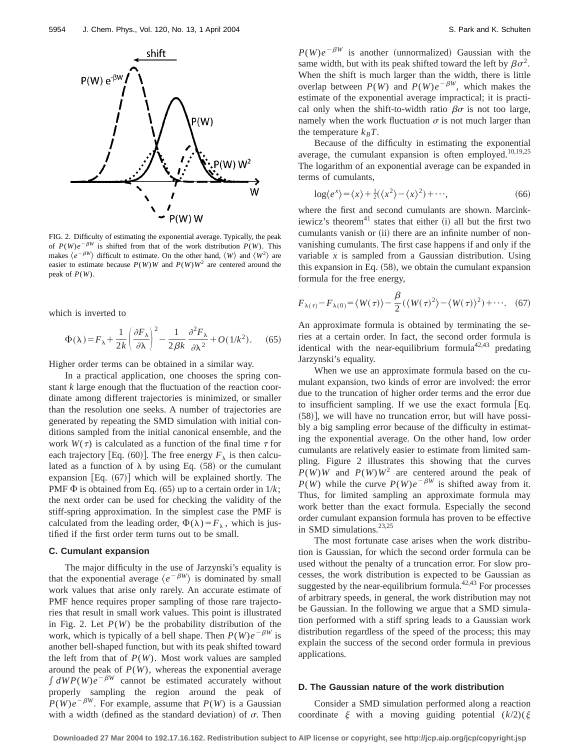

FIG. 2. Difficulty of estimating the exponential average. Typically, the peak of  $P(W)e^{-\beta W}$  is shifted from that of the work distribution  $P(W)$ . This makes  $\langle e^{-\beta W} \rangle$  difficult to estimate. On the other hand,  $\langle W \rangle$  and  $\langle W^2 \rangle$  are easier to estimate because  $P(W)W$  and  $P(W)W^2$  are centered around the peak of *P*(*W*).

which is inverted to

$$
\Phi(\lambda) = F_{\lambda} + \frac{1}{2k} \left( \frac{\partial F_{\lambda}}{\partial \lambda} \right)^2 - \frac{1}{2\beta k} \frac{\partial^2 F_{\lambda}}{\partial \lambda^2} + O(1/k^2). \tag{65}
$$

Higher order terms can be obtained in a similar way.

In a practical application, one chooses the spring constant *k* large enough that the fluctuation of the reaction coordinate among different trajectories is minimized, or smaller than the resolution one seeks. A number of trajectories are generated by repeating the SMD simulation with initial conditions sampled from the initial canonical ensemble, and the work  $W(\tau)$  is calculated as a function of the final time  $\tau$  for each trajectory [Eq. (60)]. The free energy  $F_{\lambda}$  is then calculated as a function of  $\lambda$  by using Eq. (58) or the cumulant expansion  $[Eq. (67)]$  which will be explained shortly. The PMF  $\Phi$  is obtained from Eq. (65) up to a certain order in  $1/k$ ; the next order can be used for checking the validity of the stiff-spring approximation. In the simplest case the PMF is calculated from the leading order,  $\Phi(\lambda) = F_{\lambda}$ , which is justified if the first order term turns out to be small.

## **C. Cumulant expansion**

The major difficulty in the use of Jarzynski's equality is that the exponential average  $\langle e^{-\beta W} \rangle$  is dominated by small work values that arise only rarely. An accurate estimate of PMF hence requires proper sampling of those rare trajectories that result in small work values. This point is illustrated in Fig. 2. Let  $P(W)$  be the probability distribution of the work, which is typically of a bell shape. Then  $P(W)e^{-\beta W}$  is another bell-shaped function, but with its peak shifted toward the left from that of  $P(W)$ . Most work values are sampled around the peak of  $P(W)$ , whereas the exponential average  $\int dW P(W) e^{-\beta W}$  cannot be estimated accurately without properly sampling the region around the peak of  $P(W)e^{-\beta W}$ . For example, assume that  $P(W)$  is a Gaussian with a width (defined as the standard deviation) of  $\sigma$ . Then  $P(W)e^{-\beta W}$  is another (unnormalized) Gaussian with the same width, but with its peak shifted toward the left by  $\beta \sigma^2$ . When the shift is much larger than the width, there is little overlap between  $P(W)$  and  $P(W)e^{-\beta W}$ , which makes the estimate of the exponential average impractical; it is practical only when the shift-to-width ratio  $\beta\sigma$  is not too large, namely when the work fluctuation  $\sigma$  is not much larger than the temperature  $k_B T$ .

Because of the difficulty in estimating the exponential average, the cumulant expansion is often employed.<sup>10,19,25</sup> The logarithm of an exponential average can be expanded in terms of cumulants,

$$
\log \langle e^x \rangle = \langle x \rangle + \frac{1}{2} (\langle x^2 \rangle - \langle x \rangle^2) + \cdots, \tag{66}
$$

where the first and second cumulants are shown. Marcinkiewicz's theorem $^{41}$  states that either (i) all but the first two cumulants vanish or (ii) there are an infinite number of nonvanishing cumulants. The first case happens if and only if the variable *x* is sampled from a Gaussian distribution. Using this expansion in Eq.  $(58)$ , we obtain the cumulant expansion formula for the free energy,

$$
F_{\lambda(\tau)} - F_{\lambda(0)} = \langle W(\tau) \rangle - \frac{\beta}{2} (\langle W(\tau)^2 \rangle - \langle W(\tau) \rangle^2) + \cdots. \quad (67)
$$

An approximate formula is obtained by terminating the series at a certain order. In fact, the second order formula is identical with the near-equilibrium formula<sup>42,43</sup> predating Jarzynski's equality.

When we use an approximate formula based on the cumulant expansion, two kinds of error are involved: the error due to the truncation of higher order terms and the error due to insufficient sampling. If we use the exact formula  $[Eq.$  $(58)$ ], we will have no truncation error, but will have possibly a big sampling error because of the difficulty in estimating the exponential average. On the other hand, low order cumulants are relatively easier to estimate from limited sampling. Figure 2 illustrates this showing that the curves  $P(W)W$  and  $P(W)W^2$  are centered around the peak of *P*(*W*) while the curve *P*(*W*)*e*<sup> $-\beta$ *W*</sup> is shifted away from it. Thus, for limited sampling an approximate formula may work better than the exact formula. Especially the second order cumulant expansion formula has proven to be effective in SMD simulations.  $23,25$ 

The most fortunate case arises when the work distribution is Gaussian, for which the second order formula can be used without the penalty of a truncation error. For slow processes, the work distribution is expected to be Gaussian as suggested by the near-equilibrium formula. $42,43$  For processes of arbitrary speeds, in general, the work distribution may not be Gaussian. In the following we argue that a SMD simulation performed with a stiff spring leads to a Gaussian work distribution regardless of the speed of the process; this may explain the success of the second order formula in previous applications.

## **D. The Gaussian nature of the work distribution**

Consider a SMD simulation performed along a reaction coordinate  $\xi$  with a moving guiding potential  $(k/2)(\xi)$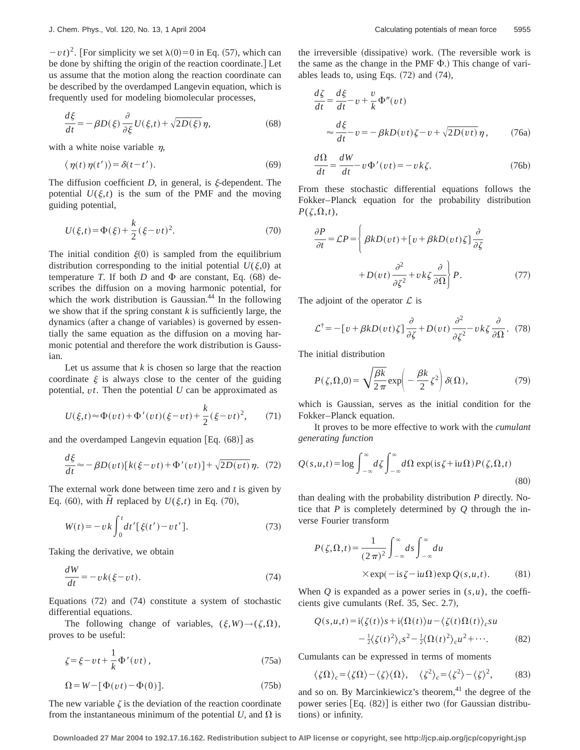$-vt$ <sup>2</sup>. [For simplicity we set  $\lambda$ (0)=0 in Eq. (57), which can be done by shifting the origin of the reaction coordinate. Let us assume that the motion along the reaction coordinate can be described by the overdamped Langevin equation, which is frequently used for modeling biomolecular processes,

$$
\frac{d\xi}{dt} = -\beta D(\xi) \frac{\partial}{\partial \xi} U(\xi, t) + \sqrt{2D(\xi)} \eta,
$$
\n(68)

with a white noise variable  $n$ ,

$$
\langle \eta(t)\eta(t')\rangle = \delta(t-t'). \tag{69}
$$

The diffusion coefficient  $D$ , in general, is  $\xi$ -dependent. The potential  $U(\xi,t)$  is the sum of the PMF and the moving guiding potential,

$$
U(\xi, t) = \Phi(\xi) + \frac{k}{2} (\xi - vt)^2.
$$
 (70)

The initial condition  $\xi(0)$  is sampled from the equilibrium distribution corresponding to the initial potential  $U(\xi,0)$  at temperature *T*. If both *D* and  $\Phi$  are constant, Eq. (68) describes the diffusion on a moving harmonic potential, for which the work distribution is Gaussian. $44$  In the following we show that if the spring constant  $k$  is sufficiently large, the dynamics (after a change of variables) is governed by essentially the same equation as the diffusion on a moving harmonic potential and therefore the work distribution is Gaussian.

Let us assume that *k* is chosen so large that the reaction coordinate  $\xi$  is always close to the center of the guiding potential, *vt*. Then the potential *U* can be approximated as

$$
U(\xi, t) \approx \Phi(vt) + \Phi'(vt)(\xi - vt) + \frac{k}{2}(\xi - vt)^2, \qquad (71)
$$

and the overdamped Langevin equation  $[Eq. (68)]$  as

$$
\frac{d\xi}{dt} \approx -\beta D(vt)[k(\xi - vt) + \Phi'(vt)] + \sqrt{2D(vt)}\eta. \tag{72}
$$

The external work done between time zero and *t* is given by Eq. (60), with  $\tilde{H}$  replaced by  $U(\xi,t)$  in Eq. (70),

$$
W(t) = -\nu k \int_0^t dt' [\xi(t') - vt'].
$$
 (73)

Taking the derivative, we obtain

$$
\frac{dW}{dt} = -v k(\xi - vt). \tag{74}
$$

Equations  $(72)$  and  $(74)$  constitute a system of stochastic differential equations.

The following change of variables,  $(\xi, W) \rightarrow (\zeta,\Omega)$ , proves to be useful:

$$
\zeta = \xi - vt + \frac{1}{k} \Phi'(vt) , \qquad (75a)
$$

$$
\Omega = W - [\Phi(vt) - \Phi(0)].
$$
\n(75b)

The new variable  $\zeta$  is the deviation of the reaction coordinate from the instantaneous minimum of the potential  $U$ , and  $\Omega$  is the irreversible (dissipative) work. (The reversible work is the same as the change in the PMF  $\Phi$ .) This change of variables leads to, using Eqs.  $(72)$  and  $(74)$ ,

$$
\frac{d\zeta}{dt} = \frac{d\xi}{dt} - v + \frac{v}{k} \Phi''(vt)
$$
  

$$
\approx \frac{d\xi}{dt} - v = -\beta k D(vt)\zeta - v + \sqrt{2D(vt)}\eta,
$$
 (76a)

$$
\frac{d\Omega}{dt} = \frac{dW}{dt} - v\Phi'(vt) = -vk\zeta.
$$
 (76b)

From these stochastic differential equations follows the Fokker–Planck equation for the probability distribution  $P(\zeta,\Omega,t)$ ,

$$
\frac{\partial P}{\partial t} = \mathcal{L}P = \left\{ \beta k D(vt) + \left[ v + \beta k D(vt) \zeta \right] \frac{\partial}{\partial \zeta} + D(vt) \frac{\partial^2}{\partial \zeta^2} + v k \zeta \frac{\partial}{\partial \Omega} \right\} P.
$$
\n(77)

The adjoint of the operator  $\mathcal L$  is

$$
\mathcal{L}^{\dagger} = -[v + \beta k D(vt)\zeta] \frac{\partial}{\partial \zeta} + D(vt) \frac{\partial^2}{\partial \zeta^2} - vk\zeta \frac{\partial}{\partial \Omega}. (78)
$$

The initial distribution

$$
P(\zeta,\Omega,0) = \sqrt{\frac{\beta k}{2\pi}} \exp\left(-\frac{\beta k}{2}\zeta^2\right) \delta(\Omega),\tag{79}
$$

which is Gaussian, serves as the initial condition for the Fokker–Planck equation.

It proves to be more effective to work with the *cumulant generating function*

$$
Q(s, u, t) = \log \int_{-\infty}^{\infty} d\zeta \int_{-\infty}^{\infty} d\Omega \exp(\mathrm{i} s \zeta + \mathrm{i} u \Omega) P(\zeta, \Omega, t)
$$
\n(80)

than dealing with the probability distribution *P* directly. Notice that *P* is completely determined by *Q* through the inverse Fourier transform

$$
P(\zeta,\Omega,t) = \frac{1}{(2\pi)^2} \int_{-\infty}^{\infty} ds \int_{-\infty}^{\infty} du
$$
  
× exp(- is  $\zeta$  - iu $\Omega$ ) exp Q(s,u,t). (81)

When  $Q$  is expanded as a power series in  $(s, u)$ , the coefficients give cumulants (Ref. 35, Sec. 2.7),

$$
Q(s, u, t) = i\langle \zeta(t) \rangle s + i\langle \Omega(t) \rangle u - \langle \zeta(t) \Omega(t) \rangle_c s u
$$
  

$$
- \frac{1}{2} \langle \zeta(t)^2 \rangle_c s^2 - \frac{1}{2} \langle \Omega(t)^2 \rangle_c u^2 + \cdots. \tag{82}
$$

Cumulants can be expressed in terms of moments

$$
\langle \zeta \Omega \rangle_c = \langle \zeta \Omega \rangle - \langle \zeta \rangle \langle \Omega \rangle, \quad \langle \zeta^2 \rangle_c = \langle \zeta^2 \rangle - \langle \zeta \rangle^2, \quad (83)
$$

and so on. By Marcinkiewicz's theorem,<sup>41</sup> the degree of the power series  $[Eq. (82)]$  is either two (for Gaussian distributions) or infinity.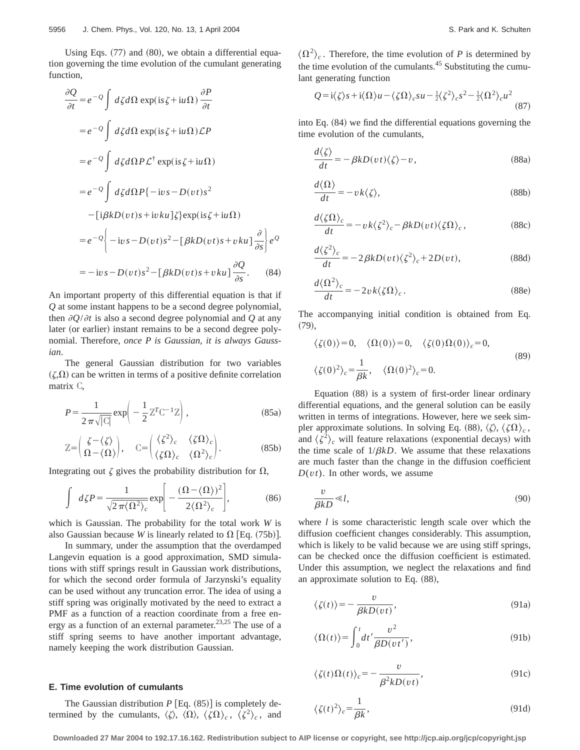Using Eqs.  $(77)$  and  $(80)$ , we obtain a differential equation governing the time evolution of the cumulant generating function,

$$
\frac{\partial Q}{\partial t} = e^{-Q} \int d\zeta d\Omega \exp(\mathrm{i} s \zeta + \mathrm{i} u \Omega) \frac{\partial P}{\partial t}
$$
  
\n
$$
= e^{-Q} \int d\zeta d\Omega \exp(\mathrm{i} s \zeta + \mathrm{i} u \Omega) \mathcal{L}P
$$
  
\n
$$
= e^{-Q} \int d\zeta d\Omega P \mathcal{L}^{\dagger} \exp(\mathrm{i} s \zeta + \mathrm{i} u \Omega)
$$
  
\n
$$
= e^{-Q} \int d\zeta d\Omega P \{-\mathrm{i} v s - D(v t) s^2
$$
  
\n
$$
-[\mathrm{i} \beta k D(v t) s + \mathrm{i} v k u] \zeta \} \exp(\mathrm{i} s \zeta + \mathrm{i} u \Omega)
$$
  
\n
$$
= e^{-Q} \left\{ -\mathrm{i} v s - D(v t) s^2 - [\beta k D(v t) s + v k u] \frac{\partial Q}{\partial s} \right\} e^{Q}
$$
  
\n
$$
= -\mathrm{i} v s - D(v t) s^2 - [\beta k D(v t) s + v k u] \frac{\partial Q}{\partial s}.
$$
 (84)

An important property of this differential equation is that if *Q* at some instant happens to be a second degree polynomial, then  $\partial Q/\partial t$  is also a second degree polynomial and Q at any later (or earlier) instant remains to be a second degree polynomial. Therefore, *once P is Gaussian, it is always Gaussian*.

The general Gaussian distribution for two variables  $(\zeta,\Omega)$  can be written in terms of a positive definite correlation matrix C,

$$
P = \frac{1}{2\pi\sqrt{|\mathcal{C}|}} \exp\left(-\frac{1}{2}\mathbb{Z}^T\mathbb{C}^{-1}\mathbb{Z}\right),\tag{85a}
$$

$$
\mathbb{Z} = \begin{pmatrix} \zeta - \langle \zeta \rangle \\ \Omega - \langle \Omega \rangle \end{pmatrix}, \quad \mathbb{C} = \begin{pmatrix} \langle \zeta^2 \rangle_c & \langle \zeta \Omega \rangle_c \\ \langle \zeta \Omega \rangle_c & \langle \Omega^2 \rangle_c \end{pmatrix}.
$$
 (85b)

Integrating out  $\zeta$  gives the probability distribution for  $\Omega$ ,

$$
\int d\zeta P = \frac{1}{\sqrt{2\pi \langle \Omega^2 \rangle_c}} \exp \left[ -\frac{(\Omega - \langle \Omega \rangle)^2}{2 \langle \Omega^2 \rangle_c} \right],
$$
 (86)

which is Gaussian. The probability for the total work *W* is also Gaussian because *W* is linearly related to  $\Omega$  [Eq. (75b)].

In summary, under the assumption that the overdamped Langevin equation is a good approximation, SMD simulations with stiff springs result in Gaussian work distributions, for which the second order formula of Jarzynski's equality can be used without any truncation error. The idea of using a stiff spring was originally motivated by the need to extract a PMF as a function of a reaction coordinate from a free energy as a function of an external parameter.<sup>23,25</sup> The use of a stiff spring seems to have another important advantage, namely keeping the work distribution Gaussian.

## **E. Time evolution of cumulants**

The Gaussian distribution  $P$  [Eq.  $(85)$ ] is completely determined by the cumulants,  $\langle \zeta \rangle$ ,  $\langle \zeta \Omega \rangle$ ,  $\langle \zeta \Omega \rangle_c$ ,  $\langle \zeta^2 \rangle_c$ , and

 $\langle \Omega^2 \rangle_c$ . Therefore, the time evolution of *P* is determined by the time evolution of the cumulants. $45$  Substituting the cumulant generating function

$$
Q = i\langle \zeta \rangle s + i\langle \Omega \rangle u - \langle \zeta \Omega \rangle_c s u - \frac{1}{2} \langle \zeta^2 \rangle_c s^2 - \frac{1}{2} \langle \Omega^2 \rangle_c u^2
$$
\n(87)

into Eq.  $(84)$  we find the differential equations governing the time evolution of the cumulants,

$$
\frac{d\langle \zeta \rangle}{dt} = -\beta k D(vt) \langle \zeta \rangle - v, \qquad (88a)
$$

$$
\frac{d\langle\Omega\rangle}{dt} = -v k\langle\zeta\rangle,\tag{88b}
$$

$$
\frac{d\langle \zeta \Omega \rangle_c}{dt} = -v k \langle \zeta^2 \rangle_c - \beta k D(v t) \langle \zeta \Omega \rangle_c, \qquad (88c)
$$

$$
\frac{d\langle \zeta^2 \rangle_c}{dt} = -2\beta k D(vt) \langle \zeta^2 \rangle_c + 2D(vt),\tag{88d}
$$

$$
\frac{d\langle \Omega^2 \rangle_c}{dt} = -2v k \langle \zeta \Omega \rangle_c. \tag{88e}
$$

The accompanying initial condition is obtained from Eq.  $(79),$ 

$$
\langle \zeta(0) \rangle = 0, \quad \langle \Omega(0) \rangle = 0, \quad \langle \zeta(0) \Omega(0) \rangle_c = 0,
$$
  

$$
\langle \zeta(0)^2 \rangle_c = \frac{1}{\beta k}, \quad \langle \Omega(0)^2 \rangle_c = 0.
$$
 (89)

Equation  $(88)$  is a system of first-order linear ordinary differential equations, and the general solution can be easily written in terms of integrations. However, here we seek simpler approximate solutions. In solving Eq. (88),  $\langle \zeta \rangle$ ,  $\langle \zeta \Omega \rangle_c$ , and  $\langle \zeta^2 \rangle_c$  will feature relaxations (exponential decays) with the time scale of  $1/\beta kD$ . We assume that these relaxations are much faster than the change in the diffusion coefficient  $D(vt)$ . In other words, we assume

$$
\frac{v}{\beta k D} \ll l,\tag{90}
$$

where *l* is some characteristic length scale over which the diffusion coefficient changes considerably. This assumption, which is likely to be valid because we are using stiff springs, can be checked once the diffusion coefficient is estimated. Under this assumption, we neglect the relaxations and find an approximate solution to Eq.  $(88)$ ,

$$
\langle \zeta(t) \rangle = -\frac{v}{\beta k D(vt)},\tag{91a}
$$

$$
\langle \Omega(t) \rangle = \int_0^t dt' \frac{v^2}{\beta D(v t')},\tag{91b}
$$

$$
\langle \zeta(t)\Omega(t) \rangle_c = -\frac{v}{\beta^2 k D(vt)},\tag{91c}
$$

$$
\zeta(t)^2 \rangle_c = \frac{1}{\beta k},\tag{91d}
$$

**Downloaded 27 Mar 2004 to 192.17.16.162. Redistribution subject to AIP license or copyright, see http://jcp.aip.org/jcp/copyright.jsp**

^z~*t*!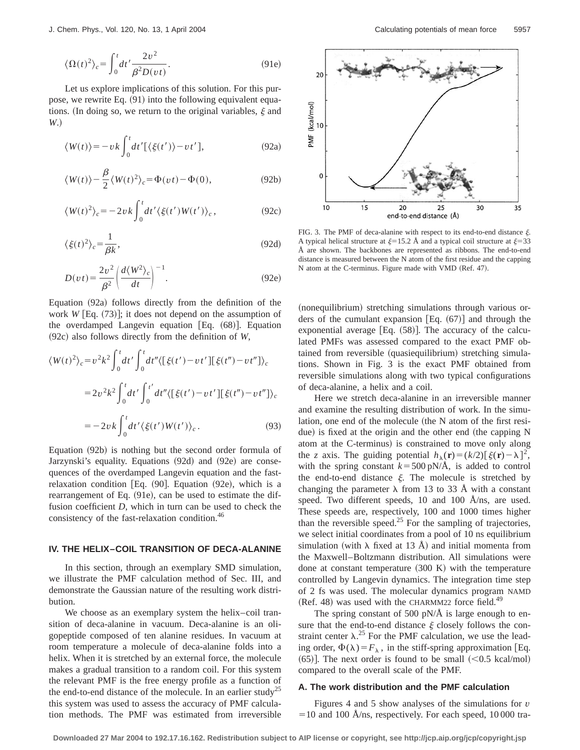J. Chem. Phys., Vol. 120, No. 13, 1 April 2004 Calculating potentials of mean force 5957

$$
\langle \Omega(t)^2 \rangle_c = \int_0^t dt' \frac{2v^2}{\beta^2 D(vt)}.
$$
\n(91e)

Let us explore implications of this solution. For this purpose, we rewrite Eq.  $(91)$  into the following equivalent equations. (In doing so, we return to the original variables,  $\xi$  and *W*.)

$$
\langle W(t) \rangle = -v k \int_0^t dt' [\langle \xi(t') \rangle - vt'], \qquad (92a)
$$

$$
\langle W(t) \rangle - \frac{\beta}{2} \langle W(t)^2 \rangle_c = \Phi(vt) - \Phi(0),\tag{92b}
$$

$$
\langle W(t)^2 \rangle_c = -2\nu k \int_0^t dt' \langle \xi(t') W(t') \rangle_c, \qquad (92c)
$$

$$
\langle \xi(t)^2 \rangle_c = \frac{1}{\beta k},\tag{92d}
$$

$$
D(vt) = \frac{2v^2}{\beta^2} \left( \frac{d\langle W^2 \rangle_c}{dt} \right)^{-1}.
$$
 (92e)

Equation  $(92a)$  follows directly from the definition of the work  $W$  [Eq.  $(73)$ ]; it does not depend on the assumption of the overdamped Langevin equation  $[Eq. (68)]$ . Equation ~92c! also follows directly from the definition of *W*,

$$
\langle W(t)^2 \rangle_c = v^2 k^2 \int_0^t dt' \int_0^t dt'' \langle [\xi(t') - vt'] [\xi(t'') - vt''] \rangle_c
$$
  

$$
= 2v^2 k^2 \int_0^t dt' \int_0^{t'} dt'' \langle [\xi(t') - vt'] [\xi(t'') - vt''] \rangle_c
$$
  

$$
= -2v k \int_0^t dt' \langle \xi(t') W(t') \rangle_c.
$$
 (93)

Equation  $(92b)$  is nothing but the second order formula of Jarzynski's equality. Equations (92d) and (92e) are consequences of the overdamped Langevin equation and the fastrelaxation condition [Eq.  $(90]$ . Equation  $(92e)$ , which is a rearrangement of Eq.  $(91e)$ , can be used to estimate the diffusion coefficient *D*, which in turn can be used to check the consistency of the fast-relaxation condition.<sup>46</sup>

#### **IV. THE HELIX–COIL TRANSITION OF DECA-ALANINE**

In this section, through an exemplary SMD simulation, we illustrate the PMF calculation method of Sec. III, and demonstrate the Gaussian nature of the resulting work distribution.

We choose as an exemplary system the helix–coil transition of deca-alanine in vacuum. Deca-alanine is an oligopeptide composed of ten alanine residues. In vacuum at room temperature a molecule of deca-alanine folds into a helix. When it is stretched by an external force, the molecule makes a gradual transition to a random coil. For this system the relevant PMF is the free energy profile as a function of the end-to-end distance of the molecule. In an earlier study<sup>25</sup> this system was used to assess the accuracy of PMF calculation methods. The PMF was estimated from irreversible



FIG. 3. The PMF of deca-alanine with respect to its end-to-end distance  $\xi$ . A typical helical structure at  $\xi=15.2$  Å and a typical coil structure at  $\xi=33$ Å are shown. The backbones are represented as ribbons. The end-to-end distance is measured between the N atom of the first residue and the capping N atom at the C-terminus. Figure made with VMD (Ref. 47).

(nonequilibrium) stretching simulations through various orders of the cumulant expansion  $[Eq. (67)]$  and through the exponential average  $[Eq. (58)]$ . The accuracy of the calculated PMFs was assessed compared to the exact PMF obtained from reversible (quasiequilibrium) stretching simulations. Shown in Fig. 3 is the exact PMF obtained from reversible simulations along with two typical configurations of deca-alanine, a helix and a coil.

Here we stretch deca-alanine in an irreversible manner and examine the resulting distribution of work. In the simulation, one end of the molecule (the N atom of the first residue) is fixed at the origin and the other end (the capping N atom at the C-terminus) is constrained to move only along the *z* axis. The guiding potential  $h_{\lambda}(\mathbf{r}) = (k/2)[\xi(\mathbf{r}) - \lambda]^2$ , with the spring constant  $k = 500 \text{ pN/A}$ , is added to control the end-to-end distance  $\xi$ . The molecule is stretched by changing the parameter  $\lambda$  from 13 to 33 Å with a constant speed. Two different speeds, 10 and 100 Å/ns, are used. These speeds are, respectively, 100 and 1000 times higher than the reversible speed.<sup>25</sup> For the sampling of trajectories, we select initial coordinates from a pool of 10 ns equilibrium simulation (with  $\lambda$  fixed at 13 Å) and initial momenta from the Maxwell–Boltzmann distribution. All simulations were done at constant temperature  $(300 \text{ K})$  with the temperature controlled by Langevin dynamics. The integration time step of 2 fs was used. The molecular dynamics program NAMD  $(Ref. 48)$  was used with the CHARMM22 force field.<sup>49</sup>

The spring constant of 500 pN/ $\AA$  is large enough to ensure that the end-to-end distance  $\xi$  closely follows the constraint center  $\lambda$ .<sup>25</sup> For the PMF calculation, we use the leading order,  $\Phi(\lambda) = F_{\lambda}$ , in the stiff-spring approximation [Eq.  $(65)$ ]. The next order is found to be small  $(< 0.5$  kcal/mol) compared to the overall scale of the PMF.

#### **A. The work distribution and the PMF calculation**

Figures 4 and 5 show analyses of the simulations for *v*  $=$  10 and 100 Å/ns, respectively. For each speed, 10 000 tra-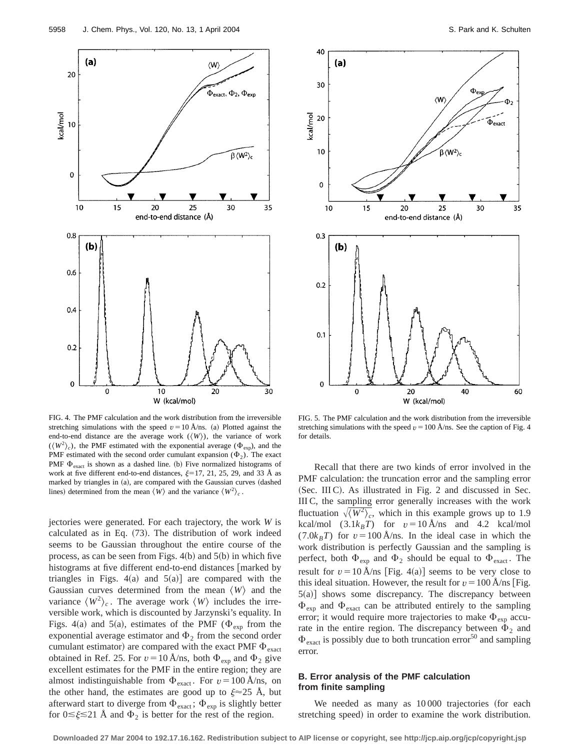

FIG. 4. The PMF calculation and the work distribution from the irreversible stretching simulations with the speed  $v=10 \text{ Å}$ /ns. (a) Plotted against the end-to-end distance are the average work  $({\langle} W{\rangle})$ , the variance of work  $({\langle} W^2{\rangle}_c)$ , the PMF estimated with the exponential average ( $\Phi_{\text{exp}}$ ), and the PMF estimated with the second order cumulant expansion  $(\Phi_2)$ . The exact PMF  $\Phi_{\text{exact}}$  is shown as a dashed line. (b) Five normalized histograms of work at five different end-to-end distances,  $\xi=17, 21, 25, 29,$  and 33 Å as marked by triangles in (a), are compared with the Gaussian curves (dashed lines) determined from the mean  $\langle W \rangle$  and the variance  $\langle W^2 \rangle_c$ .

jectories were generated. For each trajectory, the work *W* is calculated as in Eq.  $(73)$ . The distribution of work indeed seems to be Gaussian throughout the entire course of the process, as can be seen from Figs.  $4(b)$  and  $5(b)$  in which five histograms at five different end-to-end distances [marked by triangles in Figs.  $4(a)$  and  $5(a)$ ] are compared with the Gaussian curves determined from the mean  $\langle W \rangle$  and the variance  $\langle W^2 \rangle_c$ . The average work  $\langle W \rangle$  includes the irreversible work, which is discounted by Jarzynski's equality. In Figs. 4(a) and 5(a), estimates of the PMF ( $\Phi_{\text{exp}}$  from the exponential average estimator and  $\Phi_2$  from the second order cumulant estimator) are compared with the exact PMF  $\Phi_{\text{exact}}$ obtained in Ref. 25. For  $v = 10$  Å/ns, both  $\Phi_{\text{exp}}$  and  $\Phi_2$  give excellent estimates for the PMF in the entire region; they are almost indistinguishable from  $\Phi_{\text{exact}}$ . For  $v = 100 \text{ Å}$ /ns, on the other hand, the estimates are good up to  $\xi \approx 25$  Å, but afterward start to diverge from  $\Phi_{\text{exact}}$ ;  $\Phi_{\text{exp}}$  is slightly better for  $0 \le \xi \le 21$  Å and  $\Phi_2$  is better for the rest of the region.



FIG. 5. The PMF calculation and the work distribution from the irreversible stretching simulations with the speed  $v = 100 \text{ Å}$ /ns. See the caption of Fig. 4 for details.

Recall that there are two kinds of error involved in the PMF calculation: the truncation error and the sampling error (Sec. III C). As illustrated in Fig. 2 and discussed in Sec. III C, the sampling error generally increases with the work fluctuation  $\sqrt{\langle W^2 \rangle_c^2}$ , which in this example grows up to 1.9 kcal/mol  $(3.1k_BT)$  for  $v=10$  Å/ns and 4.2 kcal/mol  $(7.0k_BT)$  for  $v=100 \text{ Å}$ /ns. In the ideal case in which the work distribution is perfectly Gaussian and the sampling is perfect, both  $\Phi_{\text{exp}}$  and  $\Phi_2$  should be equal to  $\Phi_{\text{exact}}$ . The result for  $v = 10$  Å/ns [Fig. 4(a)] seems to be very close to this ideal situation. However, the result for  $v = 100$  Å/ns [Fig.  $5(a)$ ] shows some discrepancy. The discrepancy between  $\Phi_{\text{ex}}$  and  $\Phi_{\text{exact}}$  can be attributed entirely to the sampling error; it would require more trajectories to make  $\Phi_{\text{exp}}$  accurate in the entire region. The discrepancy between  $\Phi_2$  and  $\Phi_{\text{exact}}$  is possibly due to both truncation error<sup>50</sup> and sampling error.

# **B. Error analysis of the PMF calculation from finite sampling**

We needed as many as  $10000$  trajectories (for each stretching speed) in order to examine the work distribution.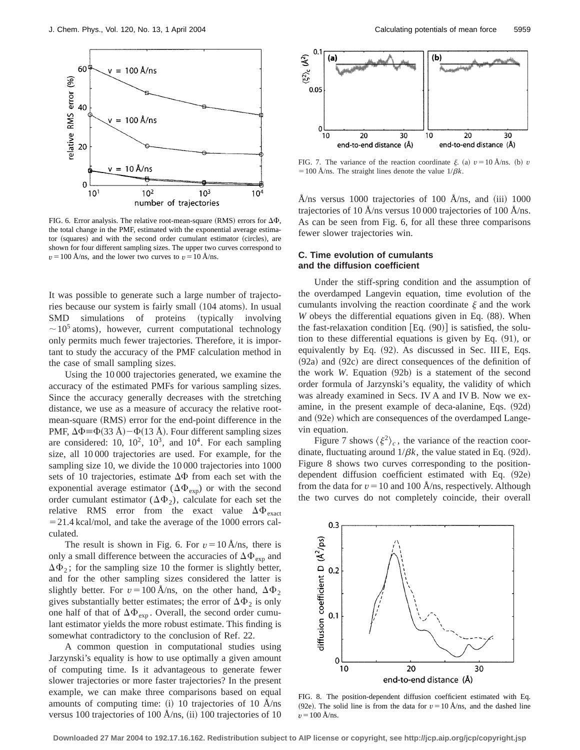

FIG. 6. Error analysis. The relative root-mean-square (RMS) errors for  $\Delta\Phi$ , the total change in the PMF, estimated with the exponential average estimator (squares) and with the second order cumulant estimator (circles), are shown for four different sampling sizes. The upper two curves correspond to  $v = 100$  Å/ns, and the lower two curves to  $v = 10$  Å/ns.

It was possible to generate such a large number of trajectories because our system is fairly small (104 atoms). In usual SMD simulations of proteins (typically involving  $\sim$  10<sup>5</sup> atoms), however, current computational technology only permits much fewer trajectories. Therefore, it is important to study the accuracy of the PMF calculation method in the case of small sampling sizes.

Using the 10 000 trajectories generated, we examine the accuracy of the estimated PMFs for various sampling sizes. Since the accuracy generally decreases with the stretching distance, we use as a measure of accuracy the relative rootmean-square (RMS) error for the end-point difference in the PMF,  $\Delta \Phi = \Phi(33 \text{ Å}) - \Phi(13 \text{ Å})$ . Four different sampling sizes are considered: 10,  $10^2$ ,  $10^3$ , and  $10^4$ . For each sampling size, all 10 000 trajectories are used. For example, for the sampling size 10, we divide the 10 000 trajectories into 1000 sets of 10 trajectories, estimate  $\Delta\Phi$  from each set with the exponential average estimator ( $\Delta \Phi_{\text{exp}}$ ) or with the second order cumulant estimator  $(\Delta \Phi_2)$ , calculate for each set the relative RMS error from the exact value  $\Delta \Phi_{\text{exact}}$  $=$  21.4 kcal/mol, and take the average of the 1000 errors calculated.

The result is shown in Fig. 6. For  $v=10 \text{ Å}$ /ns, there is only a small difference between the accuracies of  $\Delta\Phi_{\rm exp}$  and  $\Delta\Phi_2$ ; for the sampling size 10 the former is slightly better, and for the other sampling sizes considered the latter is slightly better. For  $v = 100 \text{ Å}$ /ns, on the other hand,  $\Delta \Phi_2$ gives substantially better estimates; the error of  $\Delta \Phi_2$  is only one half of that of  $\Delta \Phi_{\text{exp}}$ . Overall, the second order cumulant estimator yields the more robust estimate. This finding is somewhat contradictory to the conclusion of Ref. 22.

A common question in computational studies using Jarzynski's equality is how to use optimally a given amount of computing time. Is it advantageous to generate fewer slower trajectories or more faster trajectories? In the present example, we can make three comparisons based on equal amounts of computing time:  $(i)$  10 trajectories of 10 Å/ns versus 100 trajectories of 100 Å/ns,  $(ii)$  100 trajectories of 10



FIG. 7. The variance of the reaction coordinate  $\xi$ . (a)  $v = 10$  Å/ns. (b) *v*  $=$  100 Å/ns. The straight lines denote the value  $1/\beta k$ .

Å/ns versus 1000 trajectories of 100 Å/ns, and  $(iii)$  1000 trajectories of 10 Å/ns versus 10 000 trajectories of 100 Å/ns. As can be seen from Fig. 6, for all these three comparisons fewer slower trajectories win.

# **C. Time evolution of cumulants and the diffusion coefficient**

Under the stiff-spring condition and the assumption of the overdamped Langevin equation, time evolution of the cumulants involving the reaction coordinate  $\xi$  and the work  $W$  obeys the differential equations given in Eq.  $(88)$ . When the fast-relaxation condition  $[Eq. (90)]$  is satisfied, the solution to these differential equations is given by Eq.  $(91)$ , or equivalently by Eq.  $(92)$ . As discussed in Sec. III E, Eqs.  $(92a)$  and  $(92c)$  are direct consequences of the definition of the work  $W$ . Equation  $(92b)$  is a statement of the second order formula of Jarzynski's equality, the validity of which was already examined in Secs. IV A and IV B. Now we examine, in the present example of deca-alanine, Eqs.  $(92d)$ and (92e) which are consequences of the overdamped Langevin equation.

Figure 7 shows  $\langle \xi^2 \rangle_c$ , the variance of the reaction coordinate, fluctuating around  $1/\beta k$ , the value stated in Eq. (92d). Figure 8 shows two curves corresponding to the positiondependent diffusion coefficient estimated with Eq.  $(92e)$ from the data for  $v = 10$  and 100 Å/ns, respectively. Although the two curves do not completely coincide, their overall



FIG. 8. The position-dependent diffusion coefficient estimated with Eq. (92e). The solid line is from the data for  $v = 10$  Å/ns, and the dashed line  $v = 100 \text{ Å} / \text{ns}.$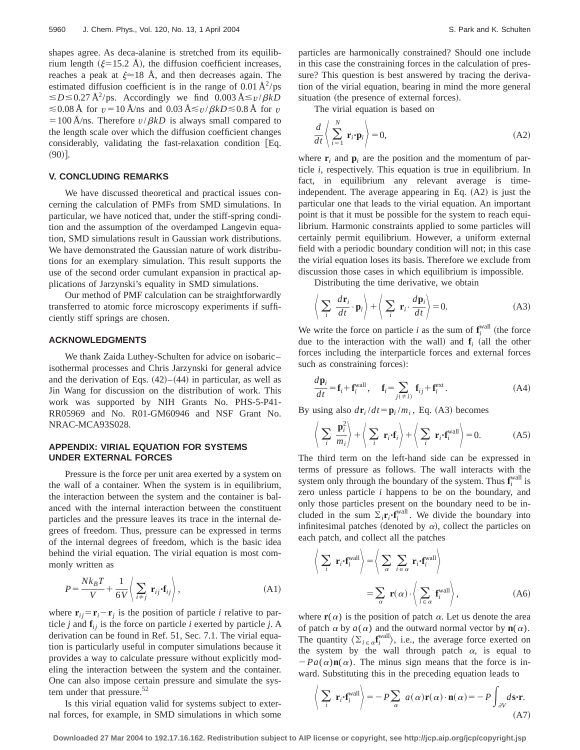shapes agree. As deca-alanine is stretched from its equilibrium length ( $\xi$ =15.2 Å), the diffusion coefficient increases, reaches a peak at  $\xi \approx 18$  Å, and then decreases again. The estimated diffusion coefficient is in the range of  $0.01 \text{ Å}^2/\text{ps}$  $\leq D \leq 0.27 \text{ Å}^2/\text{ps}$ . Accordingly we find  $0.003 \text{ Å} \leq v/\beta kD$  $\leq$  0.08 Å for *v* = 10 Å/ns and 0.03 Å $\leq$ *v*/ $\beta$ *kD* $\leq$ 0.8 Å for *v*  $=100 \text{ Å}$ /ns. Therefore  $v/\beta kD$  is always small compared to the length scale over which the diffusion coefficient changes  $considerably,$  validating the fast-relaxation condition [Eq.  $(90)$ ].

# **V. CONCLUDING REMARKS**

We have discussed theoretical and practical issues concerning the calculation of PMFs from SMD simulations. In particular, we have noticed that, under the stiff-spring condition and the assumption of the overdamped Langevin equation, SMD simulations result in Gaussian work distributions. We have demonstrated the Gaussian nature of work distributions for an exemplary simulation. This result supports the use of the second order cumulant expansion in practical applications of Jarzynski's equality in SMD simulations.

Our method of PMF calculation can be straightforwardly transferred to atomic force microscopy experiments if sufficiently stiff springs are chosen.

## **ACKNOWLEDGMENTS**

We thank Zaida Luthey-Schulten for advice on isobaric– isothermal processes and Chris Jarzynski for general advice and the derivation of Eqs.  $(42)$ – $(44)$  in particular, as well as Jin Wang for discussion on the distribution of work. This work was supported by NIH Grants No. PHS-5-P41- RR05969 and No. R01-GM60946 and NSF Grant No. NRAC-MCA93S028.

## **APPENDIX: VIRIAL EQUATION FOR SYSTEMS UNDER EXTERNAL FORCES**

Pressure is the force per unit area exerted by a system on the wall of a container. When the system is in equilibrium, the interaction between the system and the container is balanced with the internal interaction between the constituent particles and the pressure leaves its trace in the internal degrees of freedom. Thus, pressure can be expressed in terms of the internal degrees of freedom, which is the basic idea behind the virial equation. The virial equation is most commonly written as

$$
P = \frac{Nk_B T}{V} + \frac{1}{6V} \left( \sum_{i \neq j} \mathbf{r}_{ij} \cdot \mathbf{f}_{ij} \right), \tag{A1}
$$

where  $\mathbf{r}_{ij} = \mathbf{r}_i - \mathbf{r}_j$  is the position of particle *i* relative to particle *j* and  $f_{ij}$  is the force on particle *i* exerted by particle *j*. A derivation can be found in Ref. 51, Sec. 7.1. The virial equation is particularly useful in computer simulations because it provides a way to calculate pressure without explicitly modeling the interaction between the system and the container. One can also impose certain pressure and simulate the system under that pressure. $52$ 

Is this virial equation valid for systems subject to external forces, for example, in SMD simulations in which some particles are harmonically constrained? Should one include in this case the constraining forces in the calculation of pressure? This question is best answered by tracing the derivation of the virial equation, bearing in mind the more general situation (the presence of external forces).

The virial equation is based on

$$
\frac{d}{dt}\left\langle \sum_{i=1}^{N}\mathbf{r}_{i}\cdot\mathbf{p}_{i}\right\rangle =0, \tag{A2}
$$

where  $\mathbf{r}_i$  and  $\mathbf{p}_i$  are the position and the momentum of particle *i*, respectively. This equation is true in equilibrium. In fact, in equilibrium any relevant average is timeindependent. The average appearing in Eq.  $(A2)$  is just the particular one that leads to the virial equation. An important point is that it must be possible for the system to reach equilibrium. Harmonic constraints applied to some particles will certainly permit equilibrium. However, a uniform external field with a periodic boundary condition will not; in this case the virial equation loses its basis. Therefore we exclude from discussion those cases in which equilibrium is impossible.

Distributing the time derivative, we obtain

$$
\left\langle \sum_{i} \frac{d\mathbf{r}_{i}}{dt} \cdot \mathbf{p}_{i} \right\rangle + \left\langle \sum_{i} \mathbf{r}_{i} \cdot \frac{d\mathbf{p}_{i}}{dt} \right\rangle = 0.
$$
 (A3)

We write the force on particle *i* as the sum of  $\mathbf{f}^{\text{wall}}_i$  (the force due to the interaction with the wall) and  $f_i$  (all the other forces including the interparticle forces and external forces such as constraining forces):

$$
\frac{d\mathbf{p}_i}{dt} = \mathbf{f}_i + \mathbf{f}_i^{\text{wall}}, \quad \mathbf{f}_i = \sum_{j(\neq i)} \mathbf{f}_{ij} + \mathbf{f}_i^{\text{ext}}.
$$
 (A4)

By using also  $d\mathbf{r}_i/dt = \mathbf{p}_i / m_i$ , Eq. (A3) becomes

$$
\left\langle \sum_{i} \frac{\mathbf{p}_{i}^{2}}{m_{i}} \right\rangle + \left\langle \sum_{i} \mathbf{r}_{i} \cdot \mathbf{f}_{i} \right\rangle + \left\langle \sum_{i} \mathbf{r}_{i} \cdot \mathbf{f}_{i}^{\text{wall}} \right\rangle = 0. \tag{A5}
$$

The third term on the left-hand side can be expressed in terms of pressure as follows. The wall interacts with the system only through the boundary of the system. Thus  $\mathbf{f}^{\text{wall}}_i$  is zero unless particle *i* happens to be on the boundary, and only those particles present on the boundary need to be included in the sum  $\Sigma_i \mathbf{r}_i \cdot \mathbf{f}_i^{\text{wall}}$ . We divide the boundary into infinitesimal patches (denoted by  $\alpha$ ), collect the particles on each patch, and collect all the patches

$$
\left\langle \sum_{i} \mathbf{r}_{i} \cdot \mathbf{f}_{i}^{\text{wall}} \right\rangle = \left\langle \sum_{\alpha} \sum_{i \in \alpha} \mathbf{r}_{i} \cdot \mathbf{f}_{i}^{\text{wall}} \right\rangle
$$

$$
= \sum_{\alpha} \mathbf{r}(\alpha) \cdot \left\langle \sum_{i \in \alpha} \mathbf{f}_{i}^{\text{wall}} \right\rangle, \tag{A6}
$$

where  $\mathbf{r}(\alpha)$  is the position of patch  $\alpha$ . Let us denote the area of patch  $\alpha$  by  $a(\alpha)$  and the outward normal vector by  $\mathbf{n}(\alpha)$ . The quantity  $\langle \Sigma_{i\in\alpha} \mathbf{f}_i^{\text{wall}} \rangle$ , i.e., the average force exerted on the system by the wall through patch  $\alpha$ , is equal to  $P_{a}(\alpha)$ **n**( $\alpha$ ). The minus sign means that the force is inward. Substituting this in the preceding equation leads to

$$
\left\langle \sum_{i} \mathbf{r}_{i} \cdot \mathbf{f}_{i}^{\text{wall}} \right\rangle = -P \sum_{\alpha} a(\alpha) \mathbf{r}(\alpha) \cdot \mathbf{n}(\alpha) = -P \int_{\partial V} d\mathbf{s} \cdot \mathbf{r}.
$$
\n(A7)